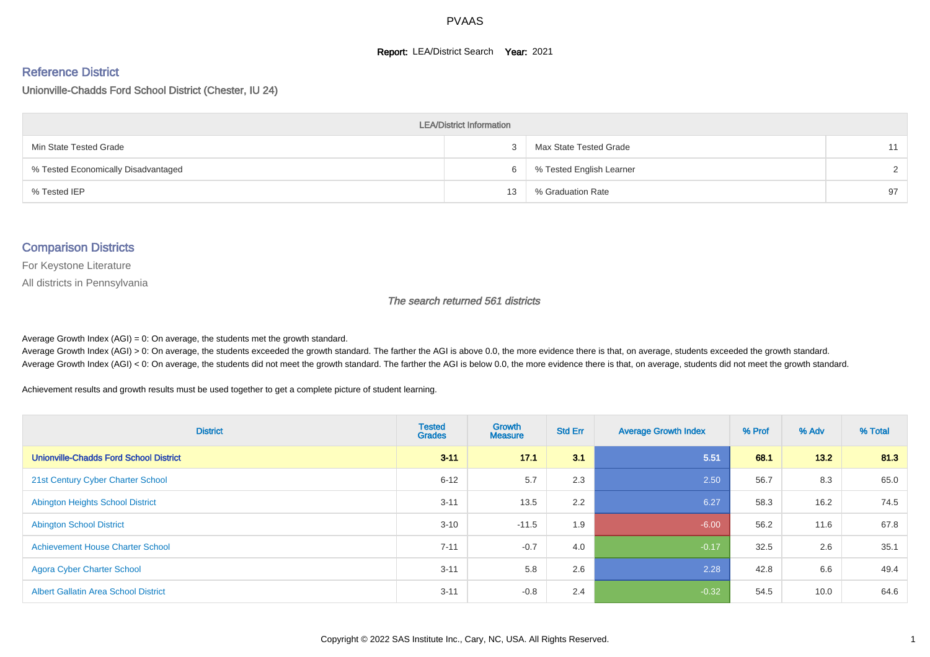#### **Report: LEA/District Search Year: 2021**

#### Reference District

Unionville-Chadds Ford School District (Chester, IU 24)

| <b>LEA/District Information</b>     |    |                          |               |  |  |  |  |  |  |  |
|-------------------------------------|----|--------------------------|---------------|--|--|--|--|--|--|--|
| Min State Tested Grade              |    | Max State Tested Grade   | 11            |  |  |  |  |  |  |  |
| % Tested Economically Disadvantaged | 6  | % Tested English Learner | $\mathcal{D}$ |  |  |  |  |  |  |  |
| % Tested IEP                        | 13 | % Graduation Rate        | 97            |  |  |  |  |  |  |  |

#### Comparison Districts

For Keystone Literature

All districts in Pennsylvania

The search returned 561 districts

Average Growth Index  $(AGI) = 0$ : On average, the students met the growth standard.

Average Growth Index (AGI) > 0: On average, the students exceeded the growth standard. The farther the AGI is above 0.0, the more evidence there is that, on average, students exceeded the growth standard. Average Growth Index (AGI) < 0: On average, the students did not meet the growth standard. The farther the AGI is below 0.0, the more evidence there is that, on average, students did not meet the growth standard.

Achievement results and growth results must be used together to get a complete picture of student learning.

| <b>District</b>                               | <b>Tested</b><br><b>Grades</b> | Growth<br><b>Measure</b> | <b>Std Err</b> | <b>Average Growth Index</b> | % Prof | % Adv  | % Total |
|-----------------------------------------------|--------------------------------|--------------------------|----------------|-----------------------------|--------|--------|---------|
| <b>Unionville-Chadds Ford School District</b> | $3 - 11$                       | 17.1                     | 3.1            | 5.51                        | 68.1   | $13.2$ | 81.3    |
| 21st Century Cyber Charter School             | $6 - 12$                       | 5.7                      | 2.3            | 2.50                        | 56.7   | 8.3    | 65.0    |
| <b>Abington Heights School District</b>       | $3 - 11$                       | 13.5                     | 2.2            | 6.27                        | 58.3   | 16.2   | 74.5    |
| <b>Abington School District</b>               | $3 - 10$                       | $-11.5$                  | 1.9            | $-6.00$                     | 56.2   | 11.6   | 67.8    |
| <b>Achievement House Charter School</b>       | $7 - 11$                       | $-0.7$                   | 4.0            | $-0.17$                     | 32.5   | 2.6    | 35.1    |
| <b>Agora Cyber Charter School</b>             | $3 - 11$                       | 5.8                      | 2.6            | 2.28                        | 42.8   | 6.6    | 49.4    |
| <b>Albert Gallatin Area School District</b>   | $3 - 11$                       | $-0.8$                   | 2.4            | $-0.32$                     | 54.5   | 10.0   | 64.6    |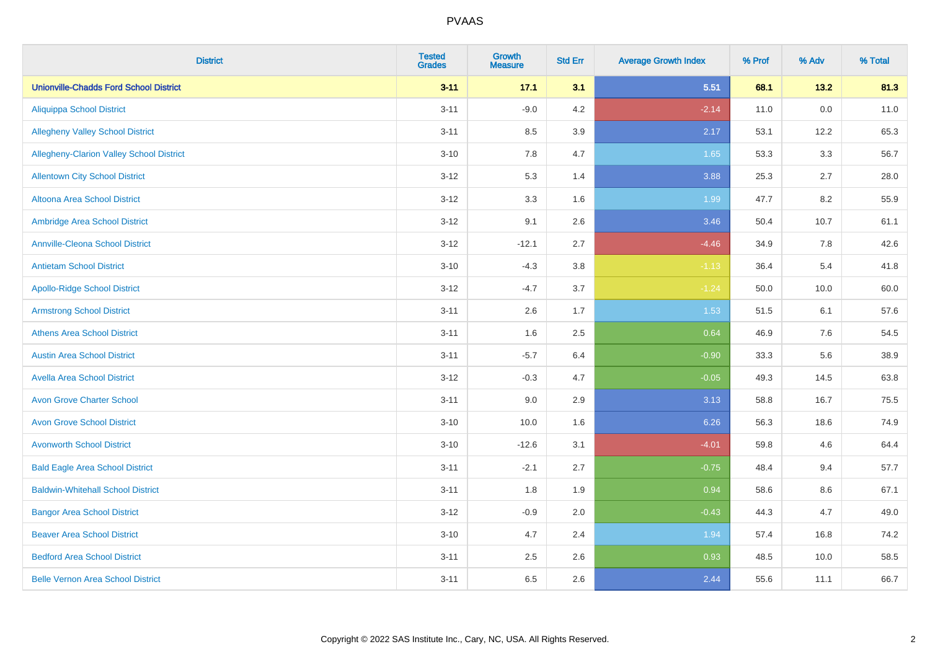| <b>District</b>                               | <b>Tested</b><br><b>Grades</b> | <b>Growth</b><br><b>Measure</b> | <b>Std Err</b> | <b>Average Growth Index</b> | % Prof | % Adv   | % Total |
|-----------------------------------------------|--------------------------------|---------------------------------|----------------|-----------------------------|--------|---------|---------|
| <b>Unionville-Chadds Ford School District</b> | $3 - 11$                       | 17.1                            | 3.1            | 5.51                        | 68.1   | 13.2    | 81.3    |
| <b>Aliquippa School District</b>              | $3 - 11$                       | $-9.0$                          | 4.2            | $-2.14$                     | 11.0   | $0.0\,$ | 11.0    |
| <b>Allegheny Valley School District</b>       | $3 - 11$                       | 8.5                             | 3.9            | 2.17                        | 53.1   | 12.2    | 65.3    |
| Allegheny-Clarion Valley School District      | $3 - 10$                       | 7.8                             | 4.7            | 1.65                        | 53.3   | 3.3     | 56.7    |
| <b>Allentown City School District</b>         | $3 - 12$                       | 5.3                             | 1.4            | 3.88                        | 25.3   | 2.7     | 28.0    |
| <b>Altoona Area School District</b>           | $3 - 12$                       | 3.3                             | 1.6            | 1.99                        | 47.7   | 8.2     | 55.9    |
| Ambridge Area School District                 | $3 - 12$                       | 9.1                             | 2.6            | 3.46                        | 50.4   | 10.7    | 61.1    |
| <b>Annville-Cleona School District</b>        | $3 - 12$                       | $-12.1$                         | 2.7            | $-4.46$                     | 34.9   | 7.8     | 42.6    |
| <b>Antietam School District</b>               | $3 - 10$                       | $-4.3$                          | 3.8            | $-1.13$                     | 36.4   | 5.4     | 41.8    |
| <b>Apollo-Ridge School District</b>           | $3 - 12$                       | $-4.7$                          | 3.7            | $-1.24$                     | 50.0   | 10.0    | 60.0    |
| <b>Armstrong School District</b>              | $3 - 11$                       | 2.6                             | 1.7            | 1.53                        | 51.5   | 6.1     | 57.6    |
| <b>Athens Area School District</b>            | $3 - 11$                       | 1.6                             | 2.5            | 0.64                        | 46.9   | 7.6     | 54.5    |
| <b>Austin Area School District</b>            | $3 - 11$                       | $-5.7$                          | 6.4            | $-0.90$                     | 33.3   | 5.6     | 38.9    |
| <b>Avella Area School District</b>            | $3 - 12$                       | $-0.3$                          | 4.7            | $-0.05$                     | 49.3   | 14.5    | 63.8    |
| <b>Avon Grove Charter School</b>              | $3 - 11$                       | 9.0                             | 2.9            | 3.13                        | 58.8   | 16.7    | 75.5    |
| <b>Avon Grove School District</b>             | $3 - 10$                       | 10.0                            | 1.6            | 6.26                        | 56.3   | 18.6    | 74.9    |
| <b>Avonworth School District</b>              | $3 - 10$                       | $-12.6$                         | 3.1            | $-4.01$                     | 59.8   | 4.6     | 64.4    |
| <b>Bald Eagle Area School District</b>        | $3 - 11$                       | $-2.1$                          | 2.7            | $-0.75$                     | 48.4   | 9.4     | 57.7    |
| <b>Baldwin-Whitehall School District</b>      | $3 - 11$                       | 1.8                             | 1.9            | 0.94                        | 58.6   | 8.6     | 67.1    |
| <b>Bangor Area School District</b>            | $3 - 12$                       | $-0.9$                          | 2.0            | $-0.43$                     | 44.3   | 4.7     | 49.0    |
| <b>Beaver Area School District</b>            | $3 - 10$                       | 4.7                             | 2.4            | 1.94                        | 57.4   | 16.8    | 74.2    |
| <b>Bedford Area School District</b>           | $3 - 11$                       | 2.5                             | 2.6            | 0.93                        | 48.5   | 10.0    | 58.5    |
| <b>Belle Vernon Area School District</b>      | $3 - 11$                       | 6.5                             | 2.6            | 2.44                        | 55.6   | 11.1    | 66.7    |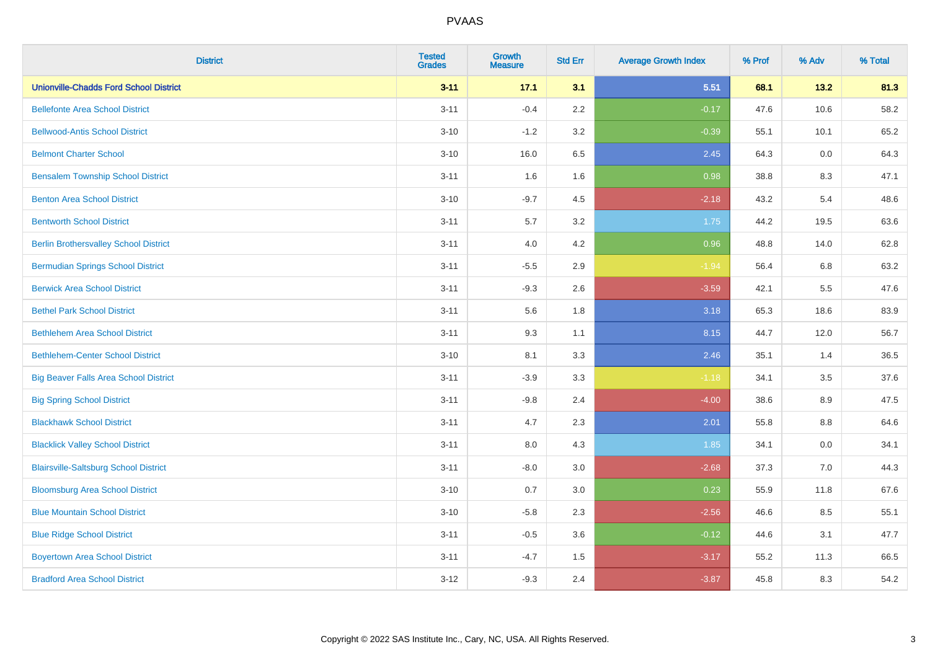| <b>District</b>                               | <b>Tested</b><br><b>Grades</b> | <b>Growth</b><br><b>Measure</b> | <b>Std Err</b> | <b>Average Growth Index</b> | % Prof | % Adv | % Total |
|-----------------------------------------------|--------------------------------|---------------------------------|----------------|-----------------------------|--------|-------|---------|
| <b>Unionville-Chadds Ford School District</b> | $3 - 11$                       | 17.1                            | 3.1            | 5.51                        | 68.1   | 13.2  | 81.3    |
| <b>Bellefonte Area School District</b>        | $3 - 11$                       | $-0.4$                          | 2.2            | $-0.17$                     | 47.6   | 10.6  | 58.2    |
| <b>Bellwood-Antis School District</b>         | $3 - 10$                       | $-1.2$                          | 3.2            | $-0.39$                     | 55.1   | 10.1  | 65.2    |
| <b>Belmont Charter School</b>                 | $3 - 10$                       | 16.0                            | 6.5            | 2.45                        | 64.3   | 0.0   | 64.3    |
| <b>Bensalem Township School District</b>      | $3 - 11$                       | 1.6                             | 1.6            | 0.98                        | 38.8   | 8.3   | 47.1    |
| <b>Benton Area School District</b>            | $3 - 10$                       | $-9.7$                          | 4.5            | $-2.18$                     | 43.2   | 5.4   | 48.6    |
| <b>Bentworth School District</b>              | $3 - 11$                       | 5.7                             | 3.2            | 1.75                        | 44.2   | 19.5  | 63.6    |
| <b>Berlin Brothersvalley School District</b>  | $3 - 11$                       | 4.0                             | 4.2            | 0.96                        | 48.8   | 14.0  | 62.8    |
| <b>Bermudian Springs School District</b>      | $3 - 11$                       | $-5.5$                          | 2.9            | $-1.94$                     | 56.4   | 6.8   | 63.2    |
| <b>Berwick Area School District</b>           | $3 - 11$                       | $-9.3$                          | 2.6            | $-3.59$                     | 42.1   | 5.5   | 47.6    |
| <b>Bethel Park School District</b>            | $3 - 11$                       | 5.6                             | 1.8            | 3.18                        | 65.3   | 18.6  | 83.9    |
| <b>Bethlehem Area School District</b>         | $3 - 11$                       | 9.3                             | 1.1            | 8.15                        | 44.7   | 12.0  | 56.7    |
| <b>Bethlehem-Center School District</b>       | $3 - 10$                       | 8.1                             | 3.3            | 2.46                        | 35.1   | 1.4   | 36.5    |
| <b>Big Beaver Falls Area School District</b>  | $3 - 11$                       | $-3.9$                          | 3.3            | $-1.18$                     | 34.1   | 3.5   | 37.6    |
| <b>Big Spring School District</b>             | $3 - 11$                       | $-9.8$                          | 2.4            | $-4.00$                     | 38.6   | 8.9   | 47.5    |
| <b>Blackhawk School District</b>              | $3 - 11$                       | 4.7                             | 2.3            | 2.01                        | 55.8   | 8.8   | 64.6    |
| <b>Blacklick Valley School District</b>       | $3 - 11$                       | 8.0                             | 4.3            | 1.85                        | 34.1   | 0.0   | 34.1    |
| <b>Blairsville-Saltsburg School District</b>  | $3 - 11$                       | $-8.0$                          | 3.0            | $-2.68$                     | 37.3   | 7.0   | 44.3    |
| <b>Bloomsburg Area School District</b>        | $3 - 10$                       | 0.7                             | 3.0            | 0.23                        | 55.9   | 11.8  | 67.6    |
| <b>Blue Mountain School District</b>          | $3 - 10$                       | $-5.8$                          | 2.3            | $-2.56$                     | 46.6   | 8.5   | 55.1    |
| <b>Blue Ridge School District</b>             | $3 - 11$                       | $-0.5$                          | 3.6            | $-0.12$                     | 44.6   | 3.1   | 47.7    |
| <b>Boyertown Area School District</b>         | $3 - 11$                       | $-4.7$                          | 1.5            | $-3.17$                     | 55.2   | 11.3  | 66.5    |
| <b>Bradford Area School District</b>          | $3 - 12$                       | $-9.3$                          | 2.4            | $-3.87$                     | 45.8   | 8.3   | 54.2    |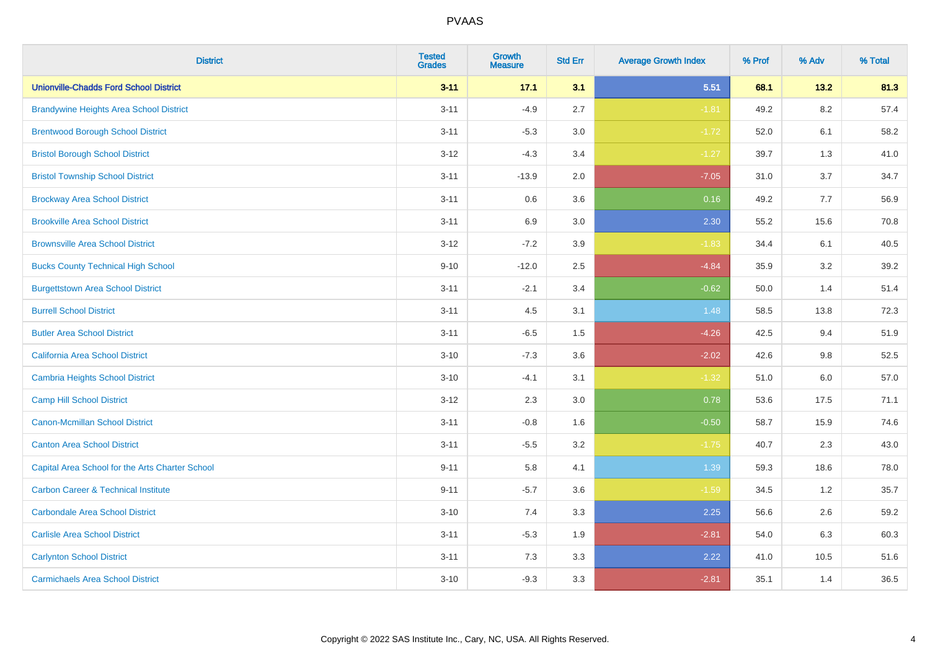| <b>District</b>                                 | <b>Tested</b><br><b>Grades</b> | <b>Growth</b><br><b>Measure</b> | <b>Std Err</b> | <b>Average Growth Index</b> | % Prof | % Adv   | % Total |
|-------------------------------------------------|--------------------------------|---------------------------------|----------------|-----------------------------|--------|---------|---------|
| <b>Unionville-Chadds Ford School District</b>   | $3 - 11$                       | 17.1                            | 3.1            | 5.51                        | 68.1   | 13.2    | 81.3    |
| <b>Brandywine Heights Area School District</b>  | $3 - 11$                       | $-4.9$                          | 2.7            | $-1.81$                     | 49.2   | $8.2\,$ | 57.4    |
| <b>Brentwood Borough School District</b>        | $3 - 11$                       | $-5.3$                          | 3.0            | $-1.72$                     | 52.0   | 6.1     | 58.2    |
| <b>Bristol Borough School District</b>          | $3 - 12$                       | $-4.3$                          | 3.4            | $-1.27$                     | 39.7   | 1.3     | 41.0    |
| <b>Bristol Township School District</b>         | $3 - 11$                       | $-13.9$                         | 2.0            | $-7.05$                     | 31.0   | 3.7     | 34.7    |
| <b>Brockway Area School District</b>            | $3 - 11$                       | 0.6                             | 3.6            | 0.16                        | 49.2   | 7.7     | 56.9    |
| <b>Brookville Area School District</b>          | $3 - 11$                       | 6.9                             | 3.0            | 2.30                        | 55.2   | 15.6    | 70.8    |
| <b>Brownsville Area School District</b>         | $3 - 12$                       | $-7.2$                          | 3.9            | $-1.83$                     | 34.4   | 6.1     | 40.5    |
| <b>Bucks County Technical High School</b>       | $9 - 10$                       | $-12.0$                         | 2.5            | $-4.84$                     | 35.9   | 3.2     | 39.2    |
| <b>Burgettstown Area School District</b>        | $3 - 11$                       | $-2.1$                          | 3.4            | $-0.62$                     | 50.0   | 1.4     | 51.4    |
| <b>Burrell School District</b>                  | $3 - 11$                       | 4.5                             | 3.1            | 1.48                        | 58.5   | 13.8    | 72.3    |
| <b>Butler Area School District</b>              | $3 - 11$                       | $-6.5$                          | 1.5            | $-4.26$                     | 42.5   | 9.4     | 51.9    |
| <b>California Area School District</b>          | $3 - 10$                       | $-7.3$                          | 3.6            | $-2.02$                     | 42.6   | $9.8\,$ | 52.5    |
| <b>Cambria Heights School District</b>          | $3 - 10$                       | $-4.1$                          | 3.1            | $-1.32$                     | 51.0   | 6.0     | 57.0    |
| <b>Camp Hill School District</b>                | $3 - 12$                       | 2.3                             | 3.0            | 0.78                        | 53.6   | 17.5    | 71.1    |
| <b>Canon-Mcmillan School District</b>           | $3 - 11$                       | $-0.8$                          | 1.6            | $-0.50$                     | 58.7   | 15.9    | 74.6    |
| <b>Canton Area School District</b>              | $3 - 11$                       | $-5.5$                          | 3.2            | $-1.75$                     | 40.7   | 2.3     | 43.0    |
| Capital Area School for the Arts Charter School | $9 - 11$                       | 5.8                             | 4.1            | 1.39                        | 59.3   | 18.6    | 78.0    |
| <b>Carbon Career &amp; Technical Institute</b>  | $9 - 11$                       | $-5.7$                          | 3.6            | $-1.59$                     | 34.5   | 1.2     | 35.7    |
| <b>Carbondale Area School District</b>          | $3 - 10$                       | 7.4                             | 3.3            | 2.25                        | 56.6   | 2.6     | 59.2    |
| <b>Carlisle Area School District</b>            | $3 - 11$                       | $-5.3$                          | 1.9            | $-2.81$                     | 54.0   | 6.3     | 60.3    |
| <b>Carlynton School District</b>                | $3 - 11$                       | 7.3                             | 3.3            | 2.22                        | 41.0   | 10.5    | 51.6    |
| <b>Carmichaels Area School District</b>         | $3 - 10$                       | $-9.3$                          | 3.3            | $-2.81$                     | 35.1   | 1.4     | 36.5    |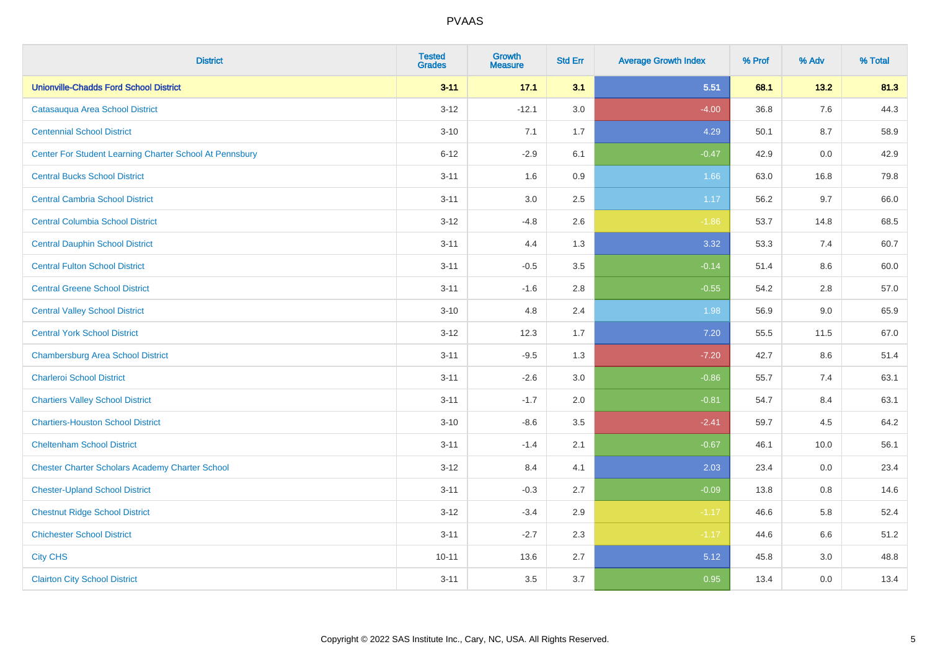| <b>District</b>                                         | <b>Tested</b><br><b>Grades</b> | <b>Growth</b><br><b>Measure</b> | <b>Std Err</b> | <b>Average Growth Index</b> | % Prof | % Adv | % Total |
|---------------------------------------------------------|--------------------------------|---------------------------------|----------------|-----------------------------|--------|-------|---------|
| <b>Unionville-Chadds Ford School District</b>           | $3 - 11$                       | 17.1                            | 3.1            | 5.51                        | 68.1   | 13.2  | 81.3    |
| Catasauqua Area School District                         | $3 - 12$                       | $-12.1$                         | 3.0            | $-4.00$                     | 36.8   | 7.6   | 44.3    |
| <b>Centennial School District</b>                       | $3 - 10$                       | 7.1                             | 1.7            | 4.29                        | 50.1   | 8.7   | 58.9    |
| Center For Student Learning Charter School At Pennsbury | $6 - 12$                       | $-2.9$                          | 6.1            | $-0.47$                     | 42.9   | 0.0   | 42.9    |
| <b>Central Bucks School District</b>                    | $3 - 11$                       | 1.6                             | 0.9            | 1.66                        | 63.0   | 16.8  | 79.8    |
| <b>Central Cambria School District</b>                  | $3 - 11$                       | $3.0\,$                         | 2.5            | 1.17                        | 56.2   | 9.7   | 66.0    |
| <b>Central Columbia School District</b>                 | $3 - 12$                       | $-4.8$                          | 2.6            | $-1.86$                     | 53.7   | 14.8  | 68.5    |
| <b>Central Dauphin School District</b>                  | $3 - 11$                       | 4.4                             | 1.3            | 3.32                        | 53.3   | 7.4   | 60.7    |
| <b>Central Fulton School District</b>                   | $3 - 11$                       | $-0.5$                          | 3.5            | $-0.14$                     | 51.4   | 8.6   | 60.0    |
| <b>Central Greene School District</b>                   | $3 - 11$                       | $-1.6$                          | 2.8            | $-0.55$                     | 54.2   | 2.8   | 57.0    |
| <b>Central Valley School District</b>                   | $3 - 10$                       | 4.8                             | 2.4            | 1.98                        | 56.9   | 9.0   | 65.9    |
| <b>Central York School District</b>                     | $3 - 12$                       | 12.3                            | 1.7            | 7.20                        | 55.5   | 11.5  | 67.0    |
| <b>Chambersburg Area School District</b>                | $3 - 11$                       | $-9.5$                          | 1.3            | $-7.20$                     | 42.7   | 8.6   | 51.4    |
| <b>Charleroi School District</b>                        | $3 - 11$                       | $-2.6$                          | 3.0            | $-0.86$                     | 55.7   | 7.4   | 63.1    |
| <b>Chartiers Valley School District</b>                 | $3 - 11$                       | $-1.7$                          | 2.0            | $-0.81$                     | 54.7   | 8.4   | 63.1    |
| <b>Chartiers-Houston School District</b>                | $3 - 10$                       | $-8.6$                          | 3.5            | $-2.41$                     | 59.7   | 4.5   | 64.2    |
| <b>Cheltenham School District</b>                       | $3 - 11$                       | $-1.4$                          | 2.1            | $-0.67$                     | 46.1   | 10.0  | 56.1    |
| <b>Chester Charter Scholars Academy Charter School</b>  | $3 - 12$                       | 8.4                             | 4.1            | 2.03                        | 23.4   | 0.0   | 23.4    |
| <b>Chester-Upland School District</b>                   | $3 - 11$                       | $-0.3$                          | 2.7            | $-0.09$                     | 13.8   | 0.8   | 14.6    |
| <b>Chestnut Ridge School District</b>                   | $3 - 12$                       | $-3.4$                          | 2.9            | $-1.17$                     | 46.6   | 5.8   | 52.4    |
| <b>Chichester School District</b>                       | $3 - 11$                       | $-2.7$                          | 2.3            | $-1.17$                     | 44.6   | 6.6   | 51.2    |
| <b>City CHS</b>                                         | $10 - 11$                      | 13.6                            | 2.7            | 5.12                        | 45.8   | 3.0   | 48.8    |
| <b>Clairton City School District</b>                    | $3 - 11$                       | 3.5                             | 3.7            | 0.95                        | 13.4   | 0.0   | 13.4    |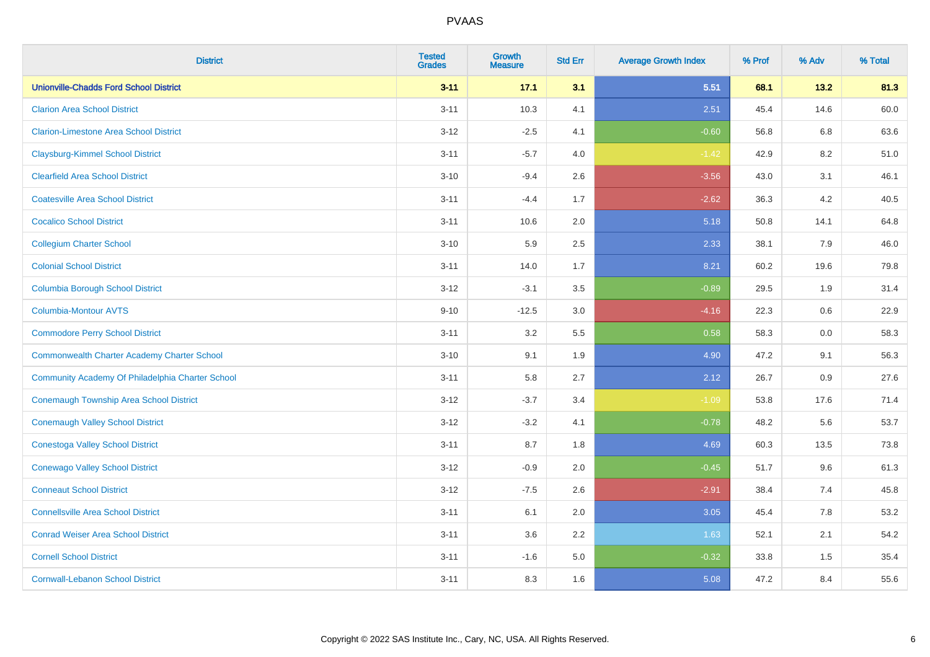| <b>District</b>                                    | <b>Tested</b><br><b>Grades</b> | <b>Growth</b><br><b>Measure</b> | <b>Std Err</b> | <b>Average Growth Index</b> | % Prof | % Adv | % Total |
|----------------------------------------------------|--------------------------------|---------------------------------|----------------|-----------------------------|--------|-------|---------|
| <b>Unionville-Chadds Ford School District</b>      | $3 - 11$                       | 17.1                            | 3.1            | 5.51                        | 68.1   | 13.2  | 81.3    |
| <b>Clarion Area School District</b>                | $3 - 11$                       | 10.3                            | 4.1            | 2.51                        | 45.4   | 14.6  | 60.0    |
| <b>Clarion-Limestone Area School District</b>      | $3 - 12$                       | $-2.5$                          | 4.1            | $-0.60$                     | 56.8   | 6.8   | 63.6    |
| <b>Claysburg-Kimmel School District</b>            | $3 - 11$                       | $-5.7$                          | 4.0            | $-1.42$                     | 42.9   | 8.2   | 51.0    |
| <b>Clearfield Area School District</b>             | $3 - 10$                       | $-9.4$                          | 2.6            | $-3.56$                     | 43.0   | 3.1   | 46.1    |
| <b>Coatesville Area School District</b>            | $3 - 11$                       | $-4.4$                          | 1.7            | $-2.62$                     | 36.3   | 4.2   | 40.5    |
| <b>Cocalico School District</b>                    | $3 - 11$                       | 10.6                            | 2.0            | 5.18                        | 50.8   | 14.1  | 64.8    |
| <b>Collegium Charter School</b>                    | $3 - 10$                       | 5.9                             | 2.5            | 2.33                        | 38.1   | 7.9   | 46.0    |
| <b>Colonial School District</b>                    | $3 - 11$                       | 14.0                            | 1.7            | 8.21                        | 60.2   | 19.6  | 79.8    |
| <b>Columbia Borough School District</b>            | $3 - 12$                       | $-3.1$                          | 3.5            | $-0.89$                     | 29.5   | 1.9   | 31.4    |
| <b>Columbia-Montour AVTS</b>                       | $9 - 10$                       | $-12.5$                         | 3.0            | $-4.16$                     | 22.3   | 0.6   | 22.9    |
| <b>Commodore Perry School District</b>             | $3 - 11$                       | 3.2                             | 5.5            | 0.58                        | 58.3   | 0.0   | 58.3    |
| <b>Commonwealth Charter Academy Charter School</b> | $3 - 10$                       | 9.1                             | 1.9            | 4.90                        | 47.2   | 9.1   | 56.3    |
| Community Academy Of Philadelphia Charter School   | $3 - 11$                       | 5.8                             | 2.7            | 2.12                        | 26.7   | 0.9   | 27.6    |
| Conemaugh Township Area School District            | $3 - 12$                       | $-3.7$                          | 3.4            | $-1.09$                     | 53.8   | 17.6  | 71.4    |
| <b>Conemaugh Valley School District</b>            | $3 - 12$                       | $-3.2$                          | 4.1            | $-0.78$                     | 48.2   | 5.6   | 53.7    |
| <b>Conestoga Valley School District</b>            | $3 - 11$                       | 8.7                             | 1.8            | 4.69                        | 60.3   | 13.5  | 73.8    |
| <b>Conewago Valley School District</b>             | $3 - 12$                       | $-0.9$                          | 2.0            | $-0.45$                     | 51.7   | 9.6   | 61.3    |
| <b>Conneaut School District</b>                    | $3 - 12$                       | $-7.5$                          | 2.6            | $-2.91$                     | 38.4   | 7.4   | 45.8    |
| <b>Connellsville Area School District</b>          | $3 - 11$                       | 6.1                             | 2.0            | 3.05                        | 45.4   | 7.8   | 53.2    |
| <b>Conrad Weiser Area School District</b>          | $3 - 11$                       | 3.6                             | 2.2            | 1.63                        | 52.1   | 2.1   | 54.2    |
| <b>Cornell School District</b>                     | $3 - 11$                       | $-1.6$                          | 5.0            | $-0.32$                     | 33.8   | 1.5   | 35.4    |
| <b>Cornwall-Lebanon School District</b>            | $3 - 11$                       | 8.3                             | 1.6            | 5.08                        | 47.2   | 8.4   | 55.6    |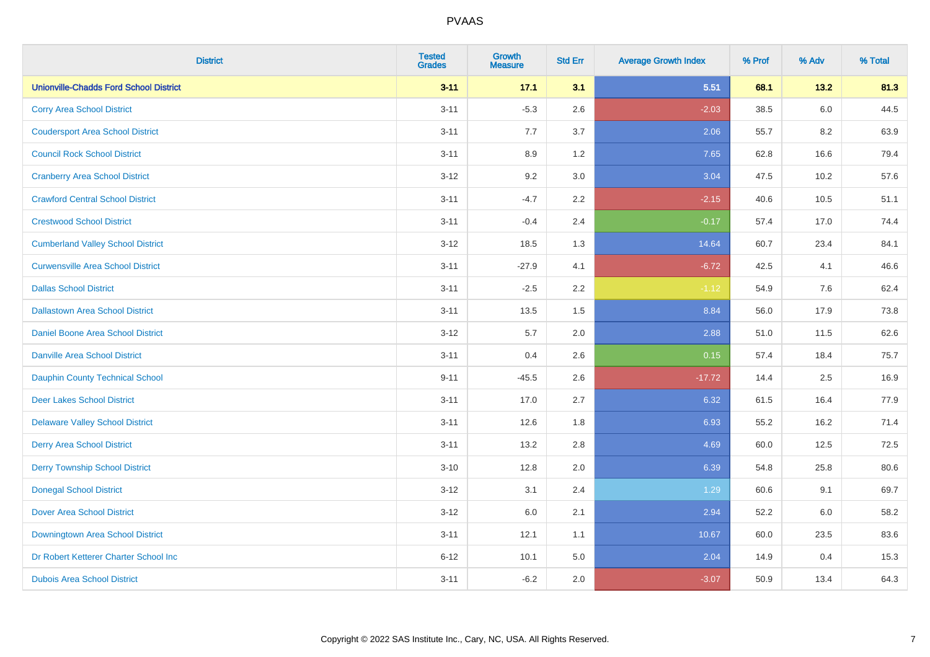| <b>District</b>                               | <b>Tested</b><br><b>Grades</b> | <b>Growth</b><br><b>Measure</b> | <b>Std Err</b> | <b>Average Growth Index</b> | % Prof | % Adv   | % Total |
|-----------------------------------------------|--------------------------------|---------------------------------|----------------|-----------------------------|--------|---------|---------|
| <b>Unionville-Chadds Ford School District</b> | $3 - 11$                       | 17.1                            | 3.1            | 5.51                        | 68.1   | 13.2    | 81.3    |
| <b>Corry Area School District</b>             | $3 - 11$                       | $-5.3$                          | 2.6            | $-2.03$                     | 38.5   | $6.0\,$ | 44.5    |
| <b>Coudersport Area School District</b>       | $3 - 11$                       | 7.7                             | 3.7            | 2.06                        | 55.7   | 8.2     | 63.9    |
| <b>Council Rock School District</b>           | $3 - 11$                       | 8.9                             | 1.2            | 7.65                        | 62.8   | 16.6    | 79.4    |
| <b>Cranberry Area School District</b>         | $3 - 12$                       | 9.2                             | 3.0            | 3.04                        | 47.5   | 10.2    | 57.6    |
| <b>Crawford Central School District</b>       | $3 - 11$                       | $-4.7$                          | 2.2            | $-2.15$                     | 40.6   | 10.5    | 51.1    |
| <b>Crestwood School District</b>              | $3 - 11$                       | $-0.4$                          | 2.4            | $-0.17$                     | 57.4   | 17.0    | 74.4    |
| <b>Cumberland Valley School District</b>      | $3 - 12$                       | 18.5                            | 1.3            | 14.64                       | 60.7   | 23.4    | 84.1    |
| <b>Curwensville Area School District</b>      | $3 - 11$                       | $-27.9$                         | 4.1            | $-6.72$                     | 42.5   | 4.1     | 46.6    |
| <b>Dallas School District</b>                 | $3 - 11$                       | $-2.5$                          | 2.2            | $-1.12$                     | 54.9   | 7.6     | 62.4    |
| <b>Dallastown Area School District</b>        | $3 - 11$                       | 13.5                            | 1.5            | 8.84                        | 56.0   | 17.9    | 73.8    |
| <b>Daniel Boone Area School District</b>      | $3 - 12$                       | 5.7                             | 2.0            | 2.88                        | 51.0   | 11.5    | 62.6    |
| <b>Danville Area School District</b>          | $3 - 11$                       | 0.4                             | 2.6            | 0.15                        | 57.4   | 18.4    | 75.7    |
| <b>Dauphin County Technical School</b>        | $9 - 11$                       | $-45.5$                         | 2.6            | $-17.72$                    | 14.4   | 2.5     | 16.9    |
| <b>Deer Lakes School District</b>             | $3 - 11$                       | 17.0                            | 2.7            | 6.32                        | 61.5   | 16.4    | 77.9    |
| <b>Delaware Valley School District</b>        | $3 - 11$                       | 12.6                            | 1.8            | 6.93                        | 55.2   | 16.2    | 71.4    |
| <b>Derry Area School District</b>             | $3 - 11$                       | 13.2                            | 2.8            | 4.69                        | 60.0   | 12.5    | 72.5    |
| <b>Derry Township School District</b>         | $3 - 10$                       | 12.8                            | 2.0            | 6.39                        | 54.8   | 25.8    | 80.6    |
| <b>Donegal School District</b>                | $3 - 12$                       | 3.1                             | 2.4            | 1.29                        | 60.6   | 9.1     | 69.7    |
| <b>Dover Area School District</b>             | $3 - 12$                       | 6.0                             | 2.1            | 2.94                        | 52.2   | 6.0     | 58.2    |
| Downingtown Area School District              | $3 - 11$                       | 12.1                            | 1.1            | 10.67                       | 60.0   | 23.5    | 83.6    |
| Dr Robert Ketterer Charter School Inc         | $6 - 12$                       | 10.1                            | 5.0            | 2.04                        | 14.9   | 0.4     | 15.3    |
| <b>Dubois Area School District</b>            | $3 - 11$                       | $-6.2$                          | 2.0            | $-3.07$                     | 50.9   | 13.4    | 64.3    |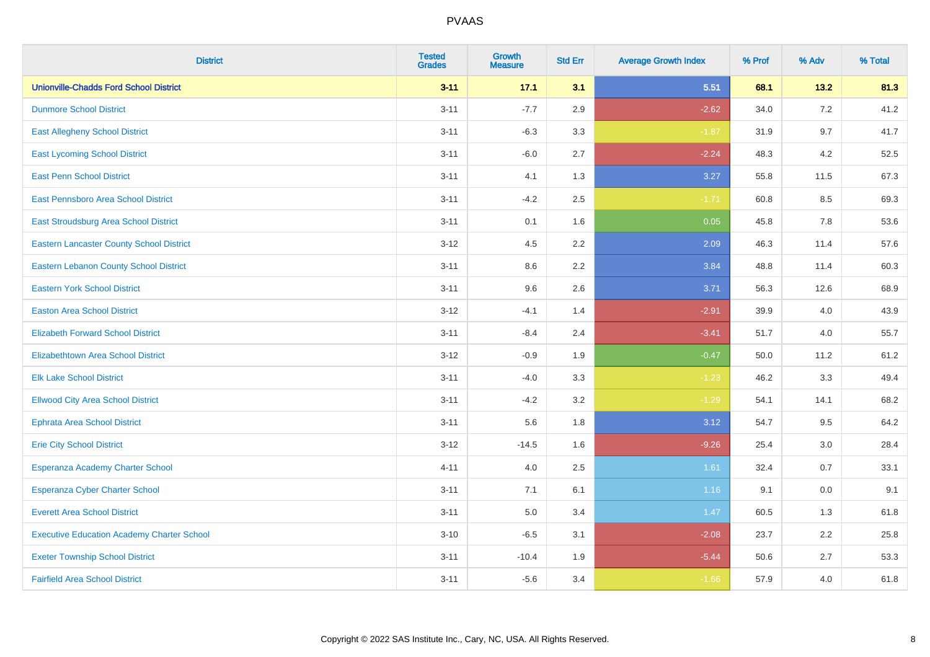| <b>District</b>                                   | <b>Tested</b><br><b>Grades</b> | <b>Growth</b><br><b>Measure</b> | <b>Std Err</b> | <b>Average Growth Index</b> | % Prof | % Adv   | % Total |
|---------------------------------------------------|--------------------------------|---------------------------------|----------------|-----------------------------|--------|---------|---------|
| <b>Unionville-Chadds Ford School District</b>     | $3 - 11$                       | 17.1                            | 3.1            | 5.51                        | 68.1   | 13.2    | 81.3    |
| <b>Dunmore School District</b>                    | $3 - 11$                       | $-7.7$                          | 2.9            | $-2.62$                     | 34.0   | 7.2     | 41.2    |
| <b>East Allegheny School District</b>             | $3 - 11$                       | $-6.3$                          | 3.3            | $-1.87$                     | 31.9   | 9.7     | 41.7    |
| <b>East Lycoming School District</b>              | $3 - 11$                       | $-6.0$                          | 2.7            | $-2.24$                     | 48.3   | 4.2     | 52.5    |
| <b>East Penn School District</b>                  | $3 - 11$                       | 4.1                             | 1.3            | 3.27                        | 55.8   | 11.5    | 67.3    |
| East Pennsboro Area School District               | $3 - 11$                       | $-4.2$                          | 2.5            | $-1.71$                     | 60.8   | 8.5     | 69.3    |
| East Stroudsburg Area School District             | $3 - 11$                       | 0.1                             | 1.6            | 0.05                        | 45.8   | 7.8     | 53.6    |
| <b>Eastern Lancaster County School District</b>   | $3 - 12$                       | 4.5                             | 2.2            | 2.09                        | 46.3   | 11.4    | 57.6    |
| <b>Eastern Lebanon County School District</b>     | $3 - 11$                       | 8.6                             | 2.2            | 3.84                        | 48.8   | 11.4    | 60.3    |
| <b>Eastern York School District</b>               | $3 - 11$                       | 9.6                             | 2.6            | 3.71                        | 56.3   | 12.6    | 68.9    |
| <b>Easton Area School District</b>                | $3-12$                         | $-4.1$                          | 1.4            | $-2.91$                     | 39.9   | 4.0     | 43.9    |
| <b>Elizabeth Forward School District</b>          | $3 - 11$                       | $-8.4$                          | 2.4            | $-3.41$                     | 51.7   | 4.0     | 55.7    |
| <b>Elizabethtown Area School District</b>         | $3 - 12$                       | $-0.9$                          | 1.9            | $-0.47$                     | 50.0   | 11.2    | 61.2    |
| <b>Elk Lake School District</b>                   | $3 - 11$                       | $-4.0$                          | 3.3            | $-1.23$                     | 46.2   | 3.3     | 49.4    |
| <b>Ellwood City Area School District</b>          | $3 - 11$                       | $-4.2$                          | 3.2            | $-1.29$                     | 54.1   | 14.1    | 68.2    |
| <b>Ephrata Area School District</b>               | $3 - 11$                       | 5.6                             | 1.8            | 3.12                        | 54.7   | 9.5     | 64.2    |
| <b>Erie City School District</b>                  | $3 - 12$                       | $-14.5$                         | 1.6            | $-9.26$                     | 25.4   | $3.0\,$ | 28.4    |
| Esperanza Academy Charter School                  | $4 - 11$                       | 4.0                             | 2.5            | 1.61                        | 32.4   | 0.7     | 33.1    |
| <b>Esperanza Cyber Charter School</b>             | $3 - 11$                       | 7.1                             | 6.1            | 1.16                        | 9.1    | 0.0     | 9.1     |
| <b>Everett Area School District</b>               | $3 - 11$                       | 5.0                             | 3.4            | 1.47                        | 60.5   | 1.3     | 61.8    |
| <b>Executive Education Academy Charter School</b> | $3 - 10$                       | $-6.5$                          | 3.1            | $-2.08$                     | 23.7   | 2.2     | 25.8    |
| <b>Exeter Township School District</b>            | $3 - 11$                       | $-10.4$                         | 1.9            | $-5.44$                     | 50.6   | 2.7     | 53.3    |
| <b>Fairfield Area School District</b>             | $3 - 11$                       | $-5.6$                          | 3.4            | $-1.66$                     | 57.9   | 4.0     | 61.8    |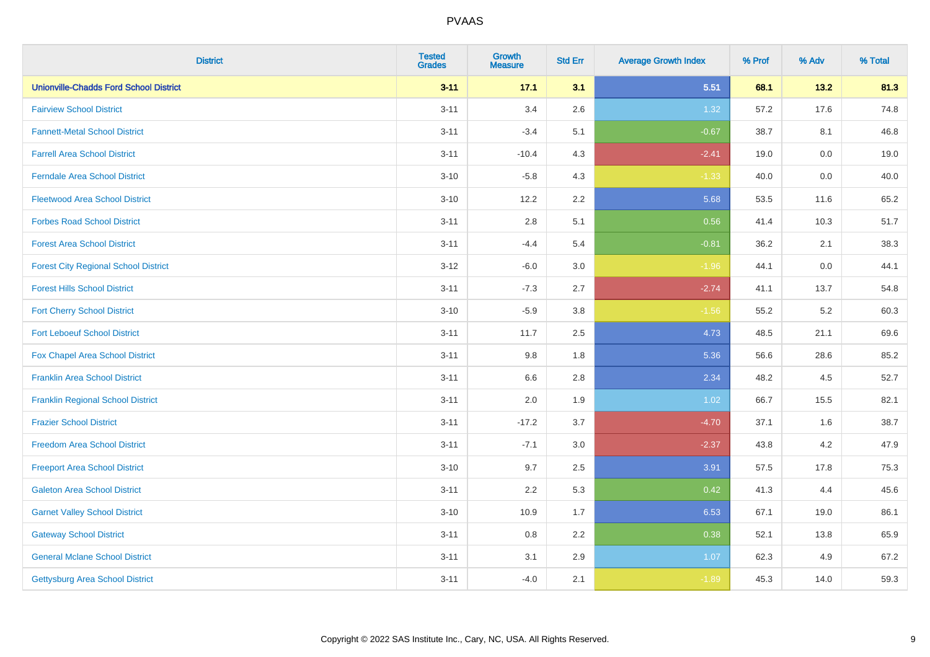| <b>District</b>                               | <b>Tested</b><br><b>Grades</b> | <b>Growth</b><br><b>Measure</b> | <b>Std Err</b> | <b>Average Growth Index</b> | % Prof | % Adv   | % Total |
|-----------------------------------------------|--------------------------------|---------------------------------|----------------|-----------------------------|--------|---------|---------|
| <b>Unionville-Chadds Ford School District</b> | $3 - 11$                       | 17.1                            | 3.1            | 5.51                        | 68.1   | 13.2    | 81.3    |
| <b>Fairview School District</b>               | $3 - 11$                       | 3.4                             | 2.6            | 1.32                        | 57.2   | 17.6    | 74.8    |
| <b>Fannett-Metal School District</b>          | $3 - 11$                       | $-3.4$                          | 5.1            | $-0.67$                     | 38.7   | 8.1     | 46.8    |
| <b>Farrell Area School District</b>           | $3 - 11$                       | $-10.4$                         | 4.3            | $-2.41$                     | 19.0   | $0.0\,$ | 19.0    |
| <b>Ferndale Area School District</b>          | $3 - 10$                       | $-5.8$                          | 4.3            | $-1.33$                     | 40.0   | 0.0     | 40.0    |
| <b>Fleetwood Area School District</b>         | $3 - 10$                       | 12.2                            | 2.2            | 5.68                        | 53.5   | 11.6    | 65.2    |
| <b>Forbes Road School District</b>            | $3 - 11$                       | 2.8                             | 5.1            | 0.56                        | 41.4   | 10.3    | 51.7    |
| <b>Forest Area School District</b>            | $3 - 11$                       | $-4.4$                          | 5.4            | $-0.81$                     | 36.2   | 2.1     | 38.3    |
| <b>Forest City Regional School District</b>   | $3 - 12$                       | $-6.0$                          | 3.0            | $-1.96$                     | 44.1   | $0.0\,$ | 44.1    |
| <b>Forest Hills School District</b>           | $3 - 11$                       | $-7.3$                          | 2.7            | $-2.74$                     | 41.1   | 13.7    | 54.8    |
| <b>Fort Cherry School District</b>            | $3 - 10$                       | $-5.9$                          | 3.8            | $-1.56$                     | 55.2   | 5.2     | 60.3    |
| <b>Fort Leboeuf School District</b>           | $3 - 11$                       | 11.7                            | 2.5            | 4.73                        | 48.5   | 21.1    | 69.6    |
| Fox Chapel Area School District               | $3 - 11$                       | 9.8                             | 1.8            | 5.36                        | 56.6   | 28.6    | 85.2    |
| <b>Franklin Area School District</b>          | $3 - 11$                       | 6.6                             | 2.8            | 2.34                        | 48.2   | 4.5     | 52.7    |
| <b>Franklin Regional School District</b>      | $3 - 11$                       | 2.0                             | 1.9            | 1.02                        | 66.7   | 15.5    | 82.1    |
| <b>Frazier School District</b>                | $3 - 11$                       | $-17.2$                         | 3.7            | $-4.70$                     | 37.1   | 1.6     | 38.7    |
| <b>Freedom Area School District</b>           | $3 - 11$                       | $-7.1$                          | 3.0            | $-2.37$                     | 43.8   | $4.2\,$ | 47.9    |
| <b>Freeport Area School District</b>          | $3 - 10$                       | 9.7                             | 2.5            | 3.91                        | 57.5   | 17.8    | 75.3    |
| <b>Galeton Area School District</b>           | $3 - 11$                       | 2.2                             | 5.3            | 0.42                        | 41.3   | 4.4     | 45.6    |
| <b>Garnet Valley School District</b>          | $3 - 10$                       | 10.9                            | 1.7            | 6.53                        | 67.1   | 19.0    | 86.1    |
| <b>Gateway School District</b>                | $3 - 11$                       | 0.8                             | 2.2            | 0.38                        | 52.1   | 13.8    | 65.9    |
| <b>General Mclane School District</b>         | $3 - 11$                       | 3.1                             | 2.9            | 1.07                        | 62.3   | 4.9     | 67.2    |
| <b>Gettysburg Area School District</b>        | $3 - 11$                       | $-4.0$                          | 2.1            | $-1.89$                     | 45.3   | 14.0    | 59.3    |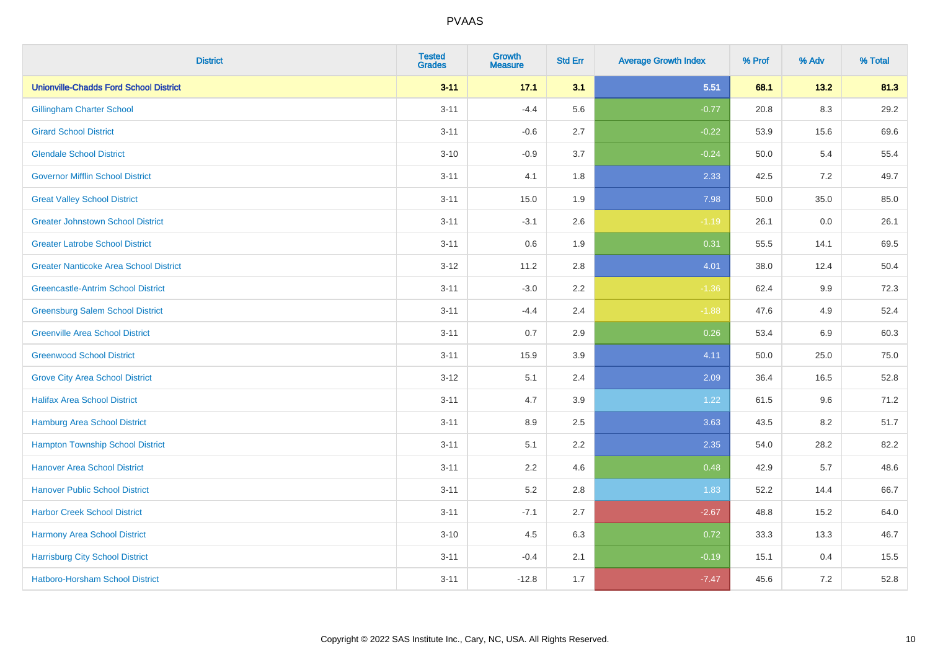| <b>District</b>                               | <b>Tested</b><br><b>Grades</b> | <b>Growth</b><br><b>Measure</b> | <b>Std Err</b> | <b>Average Growth Index</b> | % Prof | % Adv   | % Total |
|-----------------------------------------------|--------------------------------|---------------------------------|----------------|-----------------------------|--------|---------|---------|
| <b>Unionville-Chadds Ford School District</b> | $3 - 11$                       | 17.1                            | 3.1            | 5.51                        | 68.1   | 13.2    | 81.3    |
| <b>Gillingham Charter School</b>              | $3 - 11$                       | $-4.4$                          | 5.6            | $-0.77$                     | 20.8   | $8.3\,$ | 29.2    |
| <b>Girard School District</b>                 | $3 - 11$                       | $-0.6$                          | 2.7            | $-0.22$                     | 53.9   | 15.6    | 69.6    |
| <b>Glendale School District</b>               | $3 - 10$                       | $-0.9$                          | 3.7            | $-0.24$                     | 50.0   | 5.4     | 55.4    |
| <b>Governor Mifflin School District</b>       | $3 - 11$                       | 4.1                             | 1.8            | 2.33                        | 42.5   | 7.2     | 49.7    |
| <b>Great Valley School District</b>           | $3 - 11$                       | 15.0                            | 1.9            | 7.98                        | 50.0   | 35.0    | 85.0    |
| <b>Greater Johnstown School District</b>      | $3 - 11$                       | $-3.1$                          | 2.6            | $-1.19$                     | 26.1   | 0.0     | 26.1    |
| <b>Greater Latrobe School District</b>        | $3 - 11$                       | 0.6                             | 1.9            | 0.31                        | 55.5   | 14.1    | 69.5    |
| <b>Greater Nanticoke Area School District</b> | $3 - 12$                       | 11.2                            | 2.8            | 4.01                        | 38.0   | 12.4    | 50.4    |
| <b>Greencastle-Antrim School District</b>     | $3 - 11$                       | $-3.0$                          | 2.2            | $-1.36$                     | 62.4   | 9.9     | 72.3    |
| <b>Greensburg Salem School District</b>       | $3 - 11$                       | $-4.4$                          | 2.4            | $-1.88$                     | 47.6   | 4.9     | 52.4    |
| <b>Greenville Area School District</b>        | $3 - 11$                       | 0.7                             | 2.9            | 0.26                        | 53.4   | 6.9     | 60.3    |
| <b>Greenwood School District</b>              | $3 - 11$                       | 15.9                            | 3.9            | 4.11                        | 50.0   | 25.0    | 75.0    |
| <b>Grove City Area School District</b>        | $3 - 12$                       | 5.1                             | 2.4            | 2.09                        | 36.4   | 16.5    | 52.8    |
| <b>Halifax Area School District</b>           | $3 - 11$                       | 4.7                             | 3.9            | 1.22                        | 61.5   | 9.6     | 71.2    |
| <b>Hamburg Area School District</b>           | $3 - 11$                       | 8.9                             | 2.5            | 3.63                        | 43.5   | 8.2     | 51.7    |
| <b>Hampton Township School District</b>       | $3 - 11$                       | 5.1                             | 2.2            | 2.35                        | 54.0   | 28.2    | 82.2    |
| <b>Hanover Area School District</b>           | $3 - 11$                       | 2.2                             | 4.6            | 0.48                        | 42.9   | 5.7     | 48.6    |
| <b>Hanover Public School District</b>         | $3 - 11$                       | 5.2                             | 2.8            | 1.83                        | 52.2   | 14.4    | 66.7    |
| <b>Harbor Creek School District</b>           | $3 - 11$                       | $-7.1$                          | 2.7            | $-2.67$                     | 48.8   | 15.2    | 64.0    |
| Harmony Area School District                  | $3 - 10$                       | 4.5                             | 6.3            | 0.72                        | 33.3   | 13.3    | 46.7    |
| <b>Harrisburg City School District</b>        | $3 - 11$                       | $-0.4$                          | 2.1            | $-0.19$                     | 15.1   | 0.4     | 15.5    |
| <b>Hatboro-Horsham School District</b>        | $3 - 11$                       | $-12.8$                         | 1.7            | $-7.47$                     | 45.6   | 7.2     | 52.8    |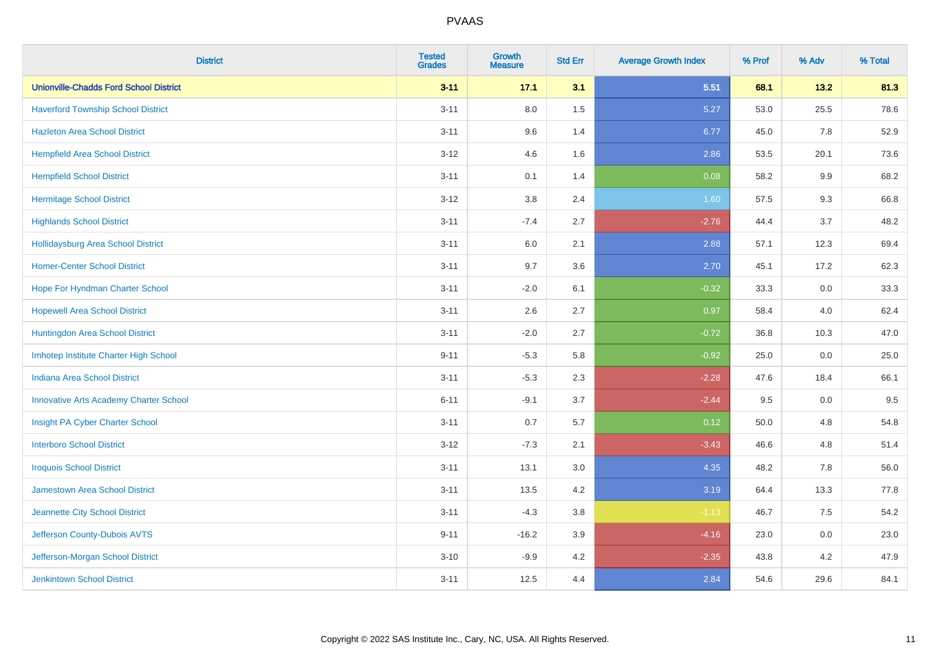| <b>District</b>                               | <b>Tested</b><br><b>Grades</b> | <b>Growth</b><br><b>Measure</b> | <b>Std Err</b> | <b>Average Growth Index</b> | % Prof | % Adv   | % Total |
|-----------------------------------------------|--------------------------------|---------------------------------|----------------|-----------------------------|--------|---------|---------|
| <b>Unionville-Chadds Ford School District</b> | $3 - 11$                       | 17.1                            | 3.1            | 5.51                        | 68.1   | 13.2    | 81.3    |
| <b>Haverford Township School District</b>     | $3 - 11$                       | 8.0                             | 1.5            | 5.27                        | 53.0   | 25.5    | 78.6    |
| <b>Hazleton Area School District</b>          | $3 - 11$                       | 9.6                             | 1.4            | 6.77                        | 45.0   | 7.8     | 52.9    |
| <b>Hempfield Area School District</b>         | $3 - 12$                       | 4.6                             | 1.6            | 2.86                        | 53.5   | 20.1    | 73.6    |
| <b>Hempfield School District</b>              | $3 - 11$                       | 0.1                             | 1.4            | 0.08                        | 58.2   | 9.9     | 68.2    |
| <b>Hermitage School District</b>              | $3 - 12$                       | 3.8                             | 2.4            | 1.60                        | 57.5   | 9.3     | 66.8    |
| <b>Highlands School District</b>              | $3 - 11$                       | $-7.4$                          | 2.7            | $-2.76$                     | 44.4   | 3.7     | 48.2    |
| <b>Hollidaysburg Area School District</b>     | $3 - 11$                       | 6.0                             | 2.1            | 2.88                        | 57.1   | 12.3    | 69.4    |
| <b>Homer-Center School District</b>           | $3 - 11$                       | 9.7                             | 3.6            | 2.70                        | 45.1   | 17.2    | 62.3    |
| Hope For Hyndman Charter School               | $3 - 11$                       | $-2.0$                          | 6.1            | $-0.32$                     | 33.3   | 0.0     | 33.3    |
| <b>Hopewell Area School District</b>          | $3 - 11$                       | 2.6                             | 2.7            | 0.97                        | 58.4   | 4.0     | 62.4    |
| Huntingdon Area School District               | $3 - 11$                       | $-2.0$                          | 2.7            | $-0.72$                     | 36.8   | 10.3    | 47.0    |
| Imhotep Institute Charter High School         | $9 - 11$                       | $-5.3$                          | 5.8            | $-0.92$                     | 25.0   | $0.0\,$ | 25.0    |
| Indiana Area School District                  | $3 - 11$                       | $-5.3$                          | 2.3            | $-2.28$                     | 47.6   | 18.4    | 66.1    |
| <b>Innovative Arts Academy Charter School</b> | $6 - 11$                       | $-9.1$                          | 3.7            | $-2.44$                     | 9.5    | $0.0\,$ | 9.5     |
| Insight PA Cyber Charter School               | $3 - 11$                       | 0.7                             | 5.7            | 0.12                        | 50.0   | 4.8     | 54.8    |
| <b>Interboro School District</b>              | $3 - 12$                       | $-7.3$                          | 2.1            | $-3.43$                     | 46.6   | 4.8     | 51.4    |
| <b>Iroquois School District</b>               | $3 - 11$                       | 13.1                            | 3.0            | 4.35                        | 48.2   | 7.8     | 56.0    |
| <b>Jamestown Area School District</b>         | $3 - 11$                       | 13.5                            | 4.2            | 3.19                        | 64.4   | 13.3    | 77.8    |
| Jeannette City School District                | $3 - 11$                       | $-4.3$                          | $3.8\,$        | $-1.13$                     | 46.7   | 7.5     | 54.2    |
| Jefferson County-Dubois AVTS                  | $9 - 11$                       | $-16.2$                         | 3.9            | $-4.16$                     | 23.0   | 0.0     | 23.0    |
| Jefferson-Morgan School District              | $3 - 10$                       | $-9.9$                          | 4.2            | $-2.35$                     | 43.8   | 4.2     | 47.9    |
| <b>Jenkintown School District</b>             | $3 - 11$                       | 12.5                            | 4.4            | 2.84                        | 54.6   | 29.6    | 84.1    |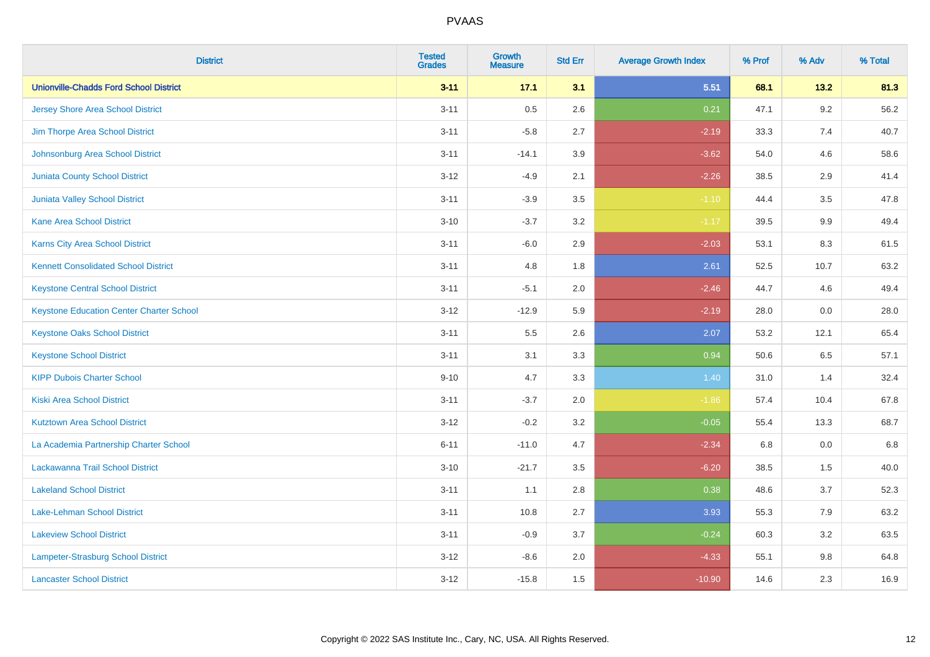| <b>District</b>                                 | <b>Tested</b><br><b>Grades</b> | <b>Growth</b><br><b>Measure</b> | <b>Std Err</b> | <b>Average Growth Index</b> | % Prof | % Adv   | % Total |
|-------------------------------------------------|--------------------------------|---------------------------------|----------------|-----------------------------|--------|---------|---------|
| <b>Unionville-Chadds Ford School District</b>   | $3 - 11$                       | 17.1                            | 3.1            | 5.51                        | 68.1   | 13.2    | 81.3    |
| <b>Jersey Shore Area School District</b>        | $3 - 11$                       | 0.5                             | 2.6            | 0.21                        | 47.1   | 9.2     | 56.2    |
| Jim Thorpe Area School District                 | $3 - 11$                       | $-5.8$                          | 2.7            | $-2.19$                     | 33.3   | 7.4     | 40.7    |
| Johnsonburg Area School District                | $3 - 11$                       | $-14.1$                         | 3.9            | $-3.62$                     | 54.0   | 4.6     | 58.6    |
| <b>Juniata County School District</b>           | $3 - 12$                       | $-4.9$                          | 2.1            | $-2.26$                     | 38.5   | 2.9     | 41.4    |
| <b>Juniata Valley School District</b>           | $3 - 11$                       | $-3.9$                          | 3.5            | $-1.10$                     | 44.4   | 3.5     | 47.8    |
| Kane Area School District                       | $3 - 10$                       | $-3.7$                          | 3.2            | $-1.17$                     | 39.5   | 9.9     | 49.4    |
| <b>Karns City Area School District</b>          | $3 - 11$                       | $-6.0$                          | 2.9            | $-2.03$                     | 53.1   | 8.3     | 61.5    |
| <b>Kennett Consolidated School District</b>     | $3 - 11$                       | 4.8                             | 1.8            | 2.61                        | 52.5   | 10.7    | 63.2    |
| <b>Keystone Central School District</b>         | $3 - 11$                       | $-5.1$                          | 2.0            | $-2.46$                     | 44.7   | 4.6     | 49.4    |
| <b>Keystone Education Center Charter School</b> | $3 - 12$                       | $-12.9$                         | 5.9            | $-2.19$                     | 28.0   | 0.0     | 28.0    |
| <b>Keystone Oaks School District</b>            | $3 - 11$                       | 5.5                             | 2.6            | 2.07                        | 53.2   | 12.1    | 65.4    |
| <b>Keystone School District</b>                 | $3 - 11$                       | 3.1                             | 3.3            | 0.94                        | 50.6   | 6.5     | 57.1    |
| <b>KIPP Dubois Charter School</b>               | $9 - 10$                       | 4.7                             | 3.3            | 1.40                        | 31.0   | 1.4     | 32.4    |
| <b>Kiski Area School District</b>               | $3 - 11$                       | $-3.7$                          | 2.0            | $-1.86$                     | 57.4   | 10.4    | 67.8    |
| <b>Kutztown Area School District</b>            | $3 - 12$                       | $-0.2$                          | 3.2            | $-0.05$                     | 55.4   | 13.3    | 68.7    |
| La Academia Partnership Charter School          | $6 - 11$                       | $-11.0$                         | 4.7            | $-2.34$                     | 6.8    | $0.0\,$ | 6.8     |
| Lackawanna Trail School District                | $3 - 10$                       | $-21.7$                         | 3.5            | $-6.20$                     | 38.5   | 1.5     | 40.0    |
| <b>Lakeland School District</b>                 | $3 - 11$                       | 1.1                             | $2.8\,$        | 0.38                        | 48.6   | 3.7     | 52.3    |
| <b>Lake-Lehman School District</b>              | $3 - 11$                       | 10.8                            | 2.7            | 3.93                        | 55.3   | 7.9     | 63.2    |
| <b>Lakeview School District</b>                 | $3 - 11$                       | $-0.9$                          | 3.7            | $-0.24$                     | 60.3   | 3.2     | 63.5    |
| Lampeter-Strasburg School District              | $3-12$                         | $-8.6$                          | 2.0            | $-4.33$                     | 55.1   | $9.8\,$ | 64.8    |
| <b>Lancaster School District</b>                | $3-12$                         | $-15.8$                         | 1.5            | $-10.90$                    | 14.6   | 2.3     | 16.9    |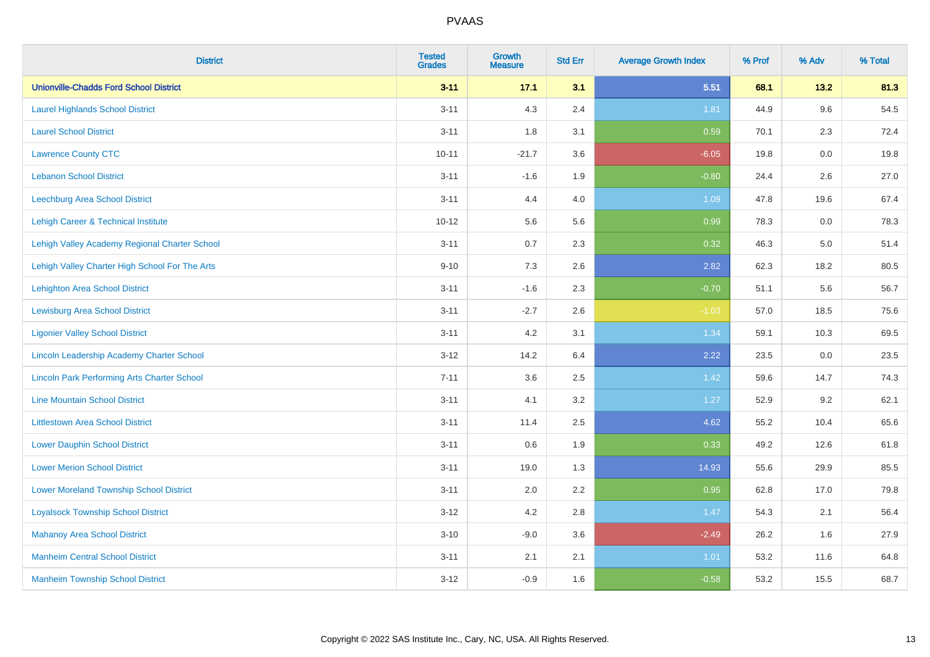| <b>District</b>                                    | <b>Tested</b><br><b>Grades</b> | <b>Growth</b><br><b>Measure</b> | <b>Std Err</b> | <b>Average Growth Index</b> | % Prof | % Adv   | % Total |
|----------------------------------------------------|--------------------------------|---------------------------------|----------------|-----------------------------|--------|---------|---------|
| <b>Unionville-Chadds Ford School District</b>      | $3 - 11$                       | 17.1                            | 3.1            | 5.51                        | 68.1   | 13.2    | 81.3    |
| <b>Laurel Highlands School District</b>            | $3 - 11$                       | 4.3                             | 2.4            | 1.81                        | 44.9   | 9.6     | 54.5    |
| <b>Laurel School District</b>                      | $3 - 11$                       | 1.8                             | 3.1            | 0.59                        | 70.1   | 2.3     | 72.4    |
| <b>Lawrence County CTC</b>                         | $10 - 11$                      | $-21.7$                         | 3.6            | $-6.05$                     | 19.8   | $0.0\,$ | 19.8    |
| <b>Lebanon School District</b>                     | $3 - 11$                       | $-1.6$                          | 1.9            | $-0.80$                     | 24.4   | 2.6     | 27.0    |
| <b>Leechburg Area School District</b>              | $3 - 11$                       | 4.4                             | 4.0            | 1.09                        | 47.8   | 19.6    | 67.4    |
| Lehigh Career & Technical Institute                | $10 - 12$                      | 5.6                             | 5.6            | 0.99                        | 78.3   | 0.0     | 78.3    |
| Lehigh Valley Academy Regional Charter School      | $3 - 11$                       | 0.7                             | 2.3            | 0.32                        | 46.3   | 5.0     | 51.4    |
| Lehigh Valley Charter High School For The Arts     | $9 - 10$                       | 7.3                             | 2.6            | 2.82                        | 62.3   | 18.2    | 80.5    |
| <b>Lehighton Area School District</b>              | $3 - 11$                       | $-1.6$                          | 2.3            | $-0.70$                     | 51.1   | 5.6     | 56.7    |
| <b>Lewisburg Area School District</b>              | $3 - 11$                       | $-2.7$                          | 2.6            | $-1.03$                     | 57.0   | 18.5    | 75.6    |
| <b>Ligonier Valley School District</b>             | $3 - 11$                       | 4.2                             | 3.1            | 1.34                        | 59.1   | 10.3    | 69.5    |
| Lincoln Leadership Academy Charter School          | $3 - 12$                       | 14.2                            | 6.4            | 2.22                        | 23.5   | 0.0     | 23.5    |
| <b>Lincoln Park Performing Arts Charter School</b> | $7 - 11$                       | 3.6                             | 2.5            | 1.42                        | 59.6   | 14.7    | 74.3    |
| <b>Line Mountain School District</b>               | $3 - 11$                       | 4.1                             | 3.2            | 1.27                        | 52.9   | 9.2     | 62.1    |
| <b>Littlestown Area School District</b>            | $3 - 11$                       | 11.4                            | 2.5            | 4.62                        | 55.2   | 10.4    | 65.6    |
| <b>Lower Dauphin School District</b>               | $3 - 11$                       | 0.6                             | 1.9            | 0.33                        | 49.2   | 12.6    | 61.8    |
| <b>Lower Merion School District</b>                | $3 - 11$                       | 19.0                            | 1.3            | 14.93                       | 55.6   | 29.9    | 85.5    |
| <b>Lower Moreland Township School District</b>     | $3 - 11$                       | 2.0                             | 2.2            | 0.95                        | 62.8   | 17.0    | 79.8    |
| <b>Loyalsock Township School District</b>          | $3 - 12$                       | 4.2                             | 2.8            | 1.47                        | 54.3   | 2.1     | 56.4    |
| <b>Mahanoy Area School District</b>                | $3 - 10$                       | $-9.0$                          | 3.6            | $-2.49$                     | 26.2   | 1.6     | 27.9    |
| <b>Manheim Central School District</b>             | $3 - 11$                       | 2.1                             | 2.1            | 1.01                        | 53.2   | 11.6    | 64.8    |
| <b>Manheim Township School District</b>            | $3 - 12$                       | $-0.9$                          | 1.6            | $-0.58$                     | 53.2   | 15.5    | 68.7    |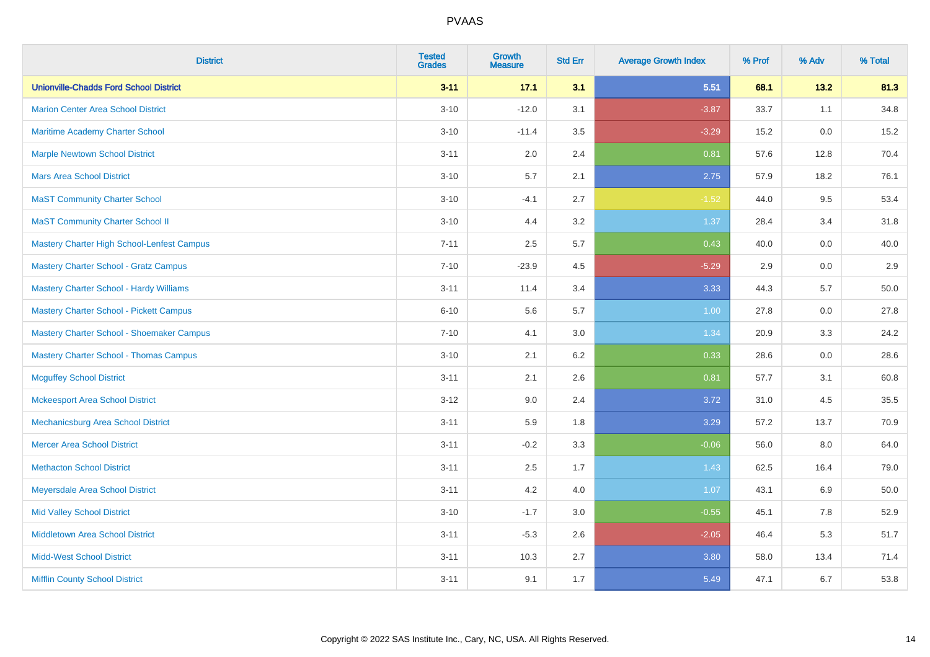| <b>District</b>                                | <b>Tested</b><br><b>Grades</b> | <b>Growth</b><br><b>Measure</b> | <b>Std Err</b> | <b>Average Growth Index</b> | % Prof | % Adv   | % Total |
|------------------------------------------------|--------------------------------|---------------------------------|----------------|-----------------------------|--------|---------|---------|
| <b>Unionville-Chadds Ford School District</b>  | $3 - 11$                       | 17.1                            | 3.1            | 5.51                        | 68.1   | 13.2    | 81.3    |
| <b>Marion Center Area School District</b>      | $3 - 10$                       | $-12.0$                         | 3.1            | $-3.87$                     | 33.7   | 1.1     | 34.8    |
| Maritime Academy Charter School                | $3 - 10$                       | $-11.4$                         | 3.5            | $-3.29$                     | 15.2   | 0.0     | 15.2    |
| <b>Marple Newtown School District</b>          | $3 - 11$                       | 2.0                             | 2.4            | 0.81                        | 57.6   | 12.8    | 70.4    |
| <b>Mars Area School District</b>               | $3 - 10$                       | 5.7                             | 2.1            | 2.75                        | 57.9   | 18.2    | 76.1    |
| <b>MaST Community Charter School</b>           | $3 - 10$                       | $-4.1$                          | 2.7            | $-1.52$                     | 44.0   | 9.5     | 53.4    |
| <b>MaST Community Charter School II</b>        | $3 - 10$                       | 4.4                             | 3.2            | 1.37                        | 28.4   | 3.4     | 31.8    |
| Mastery Charter High School-Lenfest Campus     | $7 - 11$                       | 2.5                             | 5.7            | 0.43                        | 40.0   | 0.0     | 40.0    |
| <b>Mastery Charter School - Gratz Campus</b>   | $7 - 10$                       | $-23.9$                         | 4.5            | $-5.29$                     | 2.9    | 0.0     | 2.9     |
| Mastery Charter School - Hardy Williams        | $3 - 11$                       | 11.4                            | 3.4            | 3.33                        | 44.3   | 5.7     | 50.0    |
| <b>Mastery Charter School - Pickett Campus</b> | $6 - 10$                       | 5.6                             | 5.7            | 1.00                        | 27.8   | 0.0     | 27.8    |
| Mastery Charter School - Shoemaker Campus      | $7 - 10$                       | 4.1                             | 3.0            | 1.34                        | 20.9   | 3.3     | 24.2    |
| <b>Mastery Charter School - Thomas Campus</b>  | $3 - 10$                       | 2.1                             | 6.2            | 0.33                        | 28.6   | $0.0\,$ | 28.6    |
| <b>Mcguffey School District</b>                | $3 - 11$                       | 2.1                             | 2.6            | 0.81                        | 57.7   | 3.1     | 60.8    |
| <b>Mckeesport Area School District</b>         | $3 - 12$                       | 9.0                             | 2.4            | 3.72                        | 31.0   | 4.5     | 35.5    |
| Mechanicsburg Area School District             | $3 - 11$                       | 5.9                             | 1.8            | 3.29                        | 57.2   | 13.7    | 70.9    |
| <b>Mercer Area School District</b>             | $3 - 11$                       | $-0.2$                          | 3.3            | $-0.06$                     | 56.0   | $8.0\,$ | 64.0    |
| <b>Methacton School District</b>               | $3 - 11$                       | 2.5                             | 1.7            | 1.43                        | 62.5   | 16.4    | 79.0    |
| Meyersdale Area School District                | $3 - 11$                       | 4.2                             | 4.0            | 1.07                        | 43.1   | 6.9     | 50.0    |
| <b>Mid Valley School District</b>              | $3 - 10$                       | $-1.7$                          | 3.0            | $-0.55$                     | 45.1   | 7.8     | 52.9    |
| <b>Middletown Area School District</b>         | $3 - 11$                       | $-5.3$                          | 2.6            | $-2.05$                     | 46.4   | 5.3     | 51.7    |
| <b>Midd-West School District</b>               | $3 - 11$                       | 10.3                            | 2.7            | 3.80                        | 58.0   | 13.4    | 71.4    |
| <b>Mifflin County School District</b>          | $3 - 11$                       | 9.1                             | 1.7            | 5.49                        | 47.1   | 6.7     | 53.8    |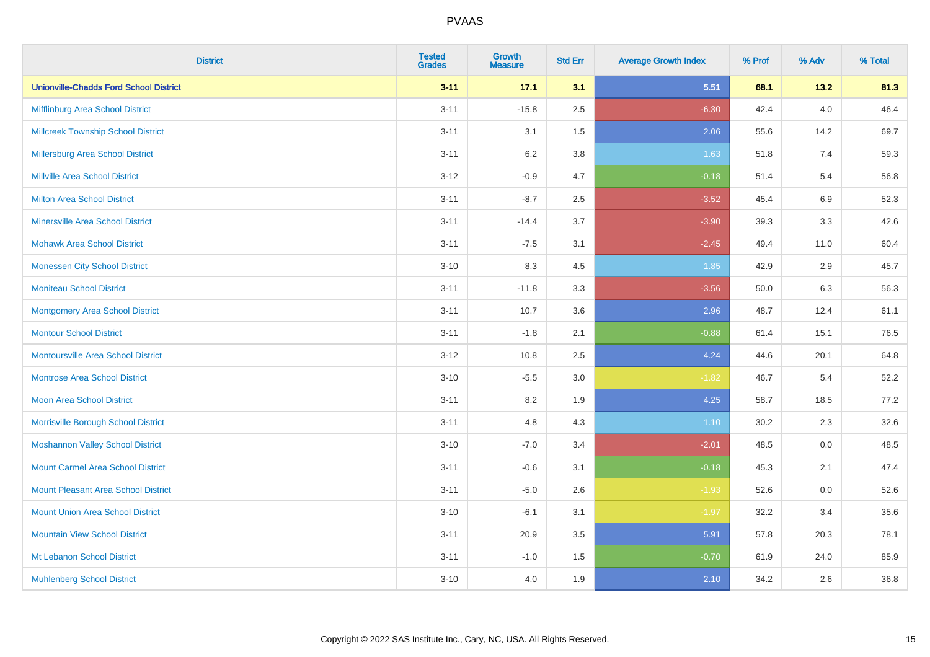| <b>District</b>                               | <b>Tested</b><br><b>Grades</b> | <b>Growth</b><br><b>Measure</b> | <b>Std Err</b> | <b>Average Growth Index</b> | % Prof | % Adv   | % Total |
|-----------------------------------------------|--------------------------------|---------------------------------|----------------|-----------------------------|--------|---------|---------|
| <b>Unionville-Chadds Ford School District</b> | $3 - 11$                       | 17.1                            | 3.1            | 5.51                        | 68.1   | 13.2    | 81.3    |
| Mifflinburg Area School District              | $3 - 11$                       | $-15.8$                         | 2.5            | $-6.30$                     | 42.4   | $4.0\,$ | 46.4    |
| <b>Millcreek Township School District</b>     | $3 - 11$                       | 3.1                             | 1.5            | 2.06                        | 55.6   | 14.2    | 69.7    |
| Millersburg Area School District              | $3 - 11$                       | 6.2                             | 3.8            | 1.63                        | 51.8   | 7.4     | 59.3    |
| <b>Millville Area School District</b>         | $3 - 12$                       | $-0.9$                          | 4.7            | $-0.18$                     | 51.4   | 5.4     | 56.8    |
| <b>Milton Area School District</b>            | $3 - 11$                       | $-8.7$                          | 2.5            | $-3.52$                     | 45.4   | 6.9     | 52.3    |
| <b>Minersville Area School District</b>       | $3 - 11$                       | $-14.4$                         | 3.7            | $-3.90$                     | 39.3   | 3.3     | 42.6    |
| <b>Mohawk Area School District</b>            | $3 - 11$                       | $-7.5$                          | 3.1            | $-2.45$                     | 49.4   | 11.0    | 60.4    |
| <b>Monessen City School District</b>          | $3 - 10$                       | 8.3                             | 4.5            | 1.85                        | 42.9   | 2.9     | 45.7    |
| <b>Moniteau School District</b>               | $3 - 11$                       | $-11.8$                         | 3.3            | $-3.56$                     | 50.0   | 6.3     | 56.3    |
| Montgomery Area School District               | $3 - 11$                       | 10.7                            | 3.6            | 2.96                        | 48.7   | 12.4    | 61.1    |
| <b>Montour School District</b>                | $3 - 11$                       | $-1.8$                          | 2.1            | $-0.88$                     | 61.4   | 15.1    | 76.5    |
| <b>Montoursville Area School District</b>     | $3 - 12$                       | 10.8                            | 2.5            | 4.24                        | 44.6   | 20.1    | 64.8    |
| <b>Montrose Area School District</b>          | $3 - 10$                       | $-5.5$                          | $3.0\,$        | $-1.82$                     | 46.7   | 5.4     | 52.2    |
| Moon Area School District                     | $3 - 11$                       | 8.2                             | 1.9            | 4.25                        | 58.7   | 18.5    | 77.2    |
| Morrisville Borough School District           | $3 - 11$                       | 4.8                             | 4.3            | 1.10                        | 30.2   | 2.3     | 32.6    |
| <b>Moshannon Valley School District</b>       | $3 - 10$                       | $-7.0$                          | 3.4            | $-2.01$                     | 48.5   | $0.0\,$ | 48.5    |
| <b>Mount Carmel Area School District</b>      | $3 - 11$                       | $-0.6$                          | 3.1            | $-0.18$                     | 45.3   | 2.1     | 47.4    |
| Mount Pleasant Area School District           | $3 - 11$                       | $-5.0$                          | 2.6            | $-1.93$                     | 52.6   | 0.0     | 52.6    |
| <b>Mount Union Area School District</b>       | $3 - 10$                       | $-6.1$                          | 3.1            | $-1.97$                     | 32.2   | 3.4     | 35.6    |
| <b>Mountain View School District</b>          | $3 - 11$                       | 20.9                            | 3.5            | 5.91                        | 57.8   | 20.3    | 78.1    |
| Mt Lebanon School District                    | $3 - 11$                       | $-1.0$                          | 1.5            | $-0.70$                     | 61.9   | 24.0    | 85.9    |
| <b>Muhlenberg School District</b>             | $3 - 10$                       | 4.0                             | 1.9            | 2.10                        | 34.2   | 2.6     | 36.8    |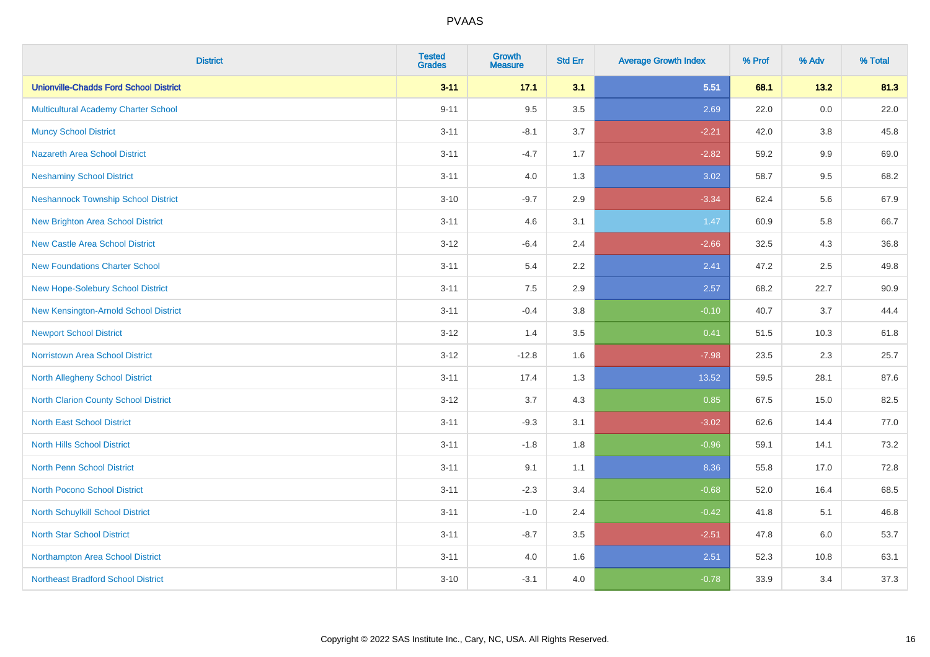| <b>District</b>                               | <b>Tested</b><br><b>Grades</b> | <b>Growth</b><br><b>Measure</b> | <b>Std Err</b> | <b>Average Growth Index</b> | % Prof | % Adv   | % Total |
|-----------------------------------------------|--------------------------------|---------------------------------|----------------|-----------------------------|--------|---------|---------|
| <b>Unionville-Chadds Ford School District</b> | $3 - 11$                       | 17.1                            | 3.1            | 5.51                        | 68.1   | 13.2    | 81.3    |
| Multicultural Academy Charter School          | $9 - 11$                       | 9.5                             | 3.5            | 2.69                        | 22.0   | $0.0\,$ | 22.0    |
| <b>Muncy School District</b>                  | $3 - 11$                       | $-8.1$                          | 3.7            | $-2.21$                     | 42.0   | 3.8     | 45.8    |
| <b>Nazareth Area School District</b>          | $3 - 11$                       | $-4.7$                          | 1.7            | $-2.82$                     | 59.2   | 9.9     | 69.0    |
| <b>Neshaminy School District</b>              | $3 - 11$                       | 4.0                             | 1.3            | 3.02                        | 58.7   | 9.5     | 68.2    |
| <b>Neshannock Township School District</b>    | $3 - 10$                       | $-9.7$                          | 2.9            | $-3.34$                     | 62.4   | 5.6     | 67.9    |
| <b>New Brighton Area School District</b>      | $3 - 11$                       | 4.6                             | 3.1            | 1.47                        | 60.9   | 5.8     | 66.7    |
| <b>New Castle Area School District</b>        | $3 - 12$                       | $-6.4$                          | 2.4            | $-2.66$                     | 32.5   | 4.3     | 36.8    |
| <b>New Foundations Charter School</b>         | $3 - 11$                       | 5.4                             | 2.2            | 2.41                        | 47.2   | 2.5     | 49.8    |
| <b>New Hope-Solebury School District</b>      | $3 - 11$                       | 7.5                             | 2.9            | 2.57                        | 68.2   | 22.7    | 90.9    |
| New Kensington-Arnold School District         | $3 - 11$                       | $-0.4$                          | 3.8            | $-0.10$                     | 40.7   | 3.7     | 44.4    |
| <b>Newport School District</b>                | $3 - 12$                       | 1.4                             | 3.5            | 0.41                        | 51.5   | 10.3    | 61.8    |
| Norristown Area School District               | $3 - 12$                       | $-12.8$                         | 1.6            | $-7.98$                     | 23.5   | $2.3\,$ | 25.7    |
| North Allegheny School District               | $3 - 11$                       | 17.4                            | 1.3            | 13.52                       | 59.5   | 28.1    | 87.6    |
| North Clarion County School District          | $3 - 12$                       | 3.7                             | 4.3            | 0.85                        | 67.5   | 15.0    | 82.5    |
| <b>North East School District</b>             | $3 - 11$                       | $-9.3$                          | 3.1            | $-3.02$                     | 62.6   | 14.4    | 77.0    |
| <b>North Hills School District</b>            | $3 - 11$                       | $-1.8$                          | 1.8            | $-0.96$                     | 59.1   | 14.1    | 73.2    |
| <b>North Penn School District</b>             | $3 - 11$                       | 9.1                             | 1.1            | 8.36                        | 55.8   | 17.0    | 72.8    |
| North Pocono School District                  | $3 - 11$                       | $-2.3$                          | 3.4            | $-0.68$                     | 52.0   | 16.4    | 68.5    |
| <b>North Schuylkill School District</b>       | $3 - 11$                       | $-1.0$                          | 2.4            | $-0.42$                     | 41.8   | 5.1     | 46.8    |
| <b>North Star School District</b>             | $3 - 11$                       | $-8.7$                          | 3.5            | $-2.51$                     | 47.8   | 6.0     | 53.7    |
| Northampton Area School District              | $3 - 11$                       | 4.0                             | 1.6            | 2.51                        | 52.3   | 10.8    | 63.1    |
| <b>Northeast Bradford School District</b>     | $3 - 10$                       | $-3.1$                          | 4.0            | $-0.78$                     | 33.9   | 3.4     | 37.3    |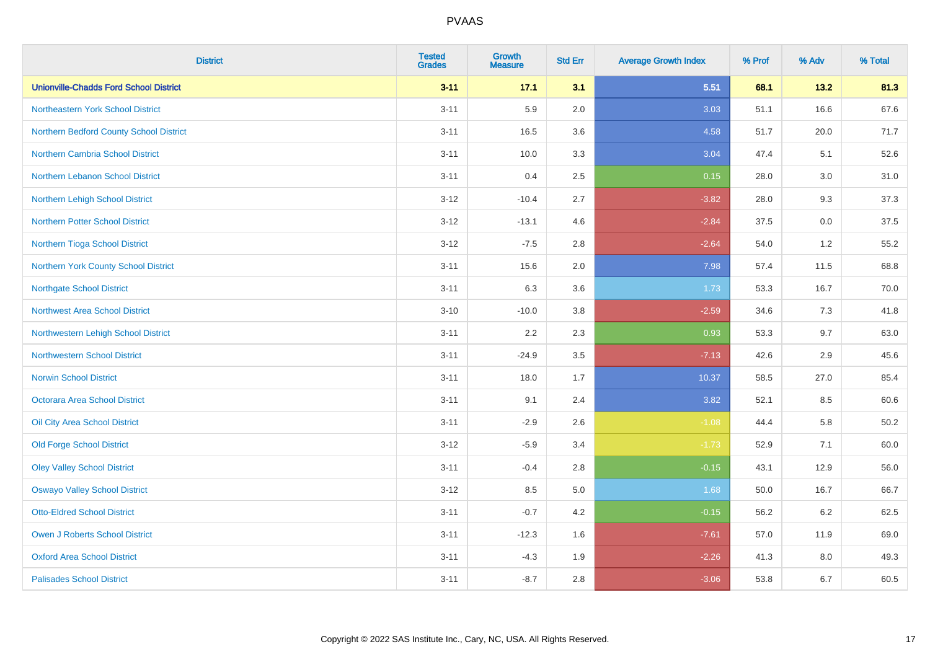| <b>District</b>                               | <b>Tested</b><br><b>Grades</b> | <b>Growth</b><br><b>Measure</b> | <b>Std Err</b> | <b>Average Growth Index</b> | % Prof | % Adv | % Total |
|-----------------------------------------------|--------------------------------|---------------------------------|----------------|-----------------------------|--------|-------|---------|
| <b>Unionville-Chadds Ford School District</b> | $3 - 11$                       | 17.1                            | 3.1            | 5.51                        | 68.1   | 13.2  | 81.3    |
| Northeastern York School District             | $3 - 11$                       | 5.9                             | 2.0            | 3.03                        | 51.1   | 16.6  | 67.6    |
| Northern Bedford County School District       | $3 - 11$                       | 16.5                            | 3.6            | 4.58                        | 51.7   | 20.0  | 71.7    |
| Northern Cambria School District              | $3 - 11$                       | 10.0                            | 3.3            | 3.04                        | 47.4   | 5.1   | 52.6    |
| <b>Northern Lebanon School District</b>       | $3 - 11$                       | 0.4                             | 2.5            | 0.15                        | 28.0   | 3.0   | 31.0    |
| Northern Lehigh School District               | $3 - 12$                       | $-10.4$                         | 2.7            | $-3.82$                     | 28.0   | 9.3   | 37.3    |
| <b>Northern Potter School District</b>        | $3 - 12$                       | $-13.1$                         | 4.6            | $-2.84$                     | 37.5   | 0.0   | 37.5    |
| Northern Tioga School District                | $3 - 12$                       | $-7.5$                          | 2.8            | $-2.64$                     | 54.0   | 1.2   | 55.2    |
| Northern York County School District          | $3 - 11$                       | 15.6                            | 2.0            | 7.98                        | 57.4   | 11.5  | 68.8    |
| <b>Northgate School District</b>              | $3 - 11$                       | 6.3                             | 3.6            | 1.73                        | 53.3   | 16.7  | 70.0    |
| Northwest Area School District                | $3 - 10$                       | $-10.0$                         | 3.8            | $-2.59$                     | 34.6   | 7.3   | 41.8    |
| Northwestern Lehigh School District           | $3 - 11$                       | 2.2                             | 2.3            | 0.93                        | 53.3   | 9.7   | 63.0    |
| Northwestern School District                  | $3 - 11$                       | $-24.9$                         | 3.5            | $-7.13$                     | 42.6   | 2.9   | 45.6    |
| <b>Norwin School District</b>                 | $3 - 11$                       | 18.0                            | 1.7            | 10.37                       | 58.5   | 27.0  | 85.4    |
| Octorara Area School District                 | $3 - 11$                       | 9.1                             | 2.4            | 3.82                        | 52.1   | 8.5   | 60.6    |
| Oil City Area School District                 | $3 - 11$                       | $-2.9$                          | 2.6            | $-1.08$                     | 44.4   | 5.8   | 50.2    |
| <b>Old Forge School District</b>              | $3 - 12$                       | $-5.9$                          | 3.4            | $-1.73$                     | 52.9   | 7.1   | 60.0    |
| <b>Oley Valley School District</b>            | $3 - 11$                       | $-0.4$                          | 2.8            | $-0.15$                     | 43.1   | 12.9  | 56.0    |
| <b>Oswayo Valley School District</b>          | $3 - 12$                       | 8.5                             | 5.0            | 1.68                        | 50.0   | 16.7  | 66.7    |
| <b>Otto-Eldred School District</b>            | $3 - 11$                       | $-0.7$                          | 4.2            | $-0.15$                     | 56.2   | 6.2   | 62.5    |
| <b>Owen J Roberts School District</b>         | $3 - 11$                       | $-12.3$                         | 1.6            | $-7.61$                     | 57.0   | 11.9  | 69.0    |
| <b>Oxford Area School District</b>            | $3 - 11$                       | $-4.3$                          | 1.9            | $-2.26$                     | 41.3   | 8.0   | 49.3    |
| <b>Palisades School District</b>              | $3 - 11$                       | $-8.7$                          | 2.8            | $-3.06$                     | 53.8   | 6.7   | 60.5    |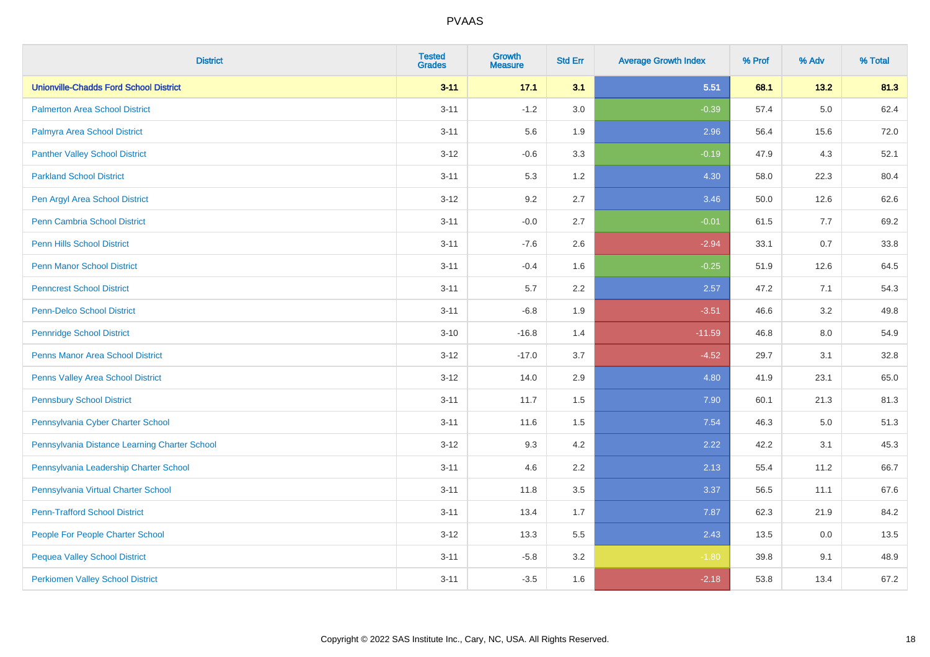| <b>District</b>                               | <b>Tested</b><br><b>Grades</b> | <b>Growth</b><br><b>Measure</b> | <b>Std Err</b> | <b>Average Growth Index</b> | % Prof | % Adv   | % Total |
|-----------------------------------------------|--------------------------------|---------------------------------|----------------|-----------------------------|--------|---------|---------|
| <b>Unionville-Chadds Ford School District</b> | $3 - 11$                       | 17.1                            | 3.1            | 5.51                        | 68.1   | 13.2    | 81.3    |
| <b>Palmerton Area School District</b>         | $3 - 11$                       | $-1.2$                          | 3.0            | $-0.39$                     | 57.4   | $5.0\,$ | 62.4    |
| Palmyra Area School District                  | $3 - 11$                       | 5.6                             | 1.9            | 2.96                        | 56.4   | 15.6    | 72.0    |
| <b>Panther Valley School District</b>         | $3 - 12$                       | $-0.6$                          | 3.3            | $-0.19$                     | 47.9   | 4.3     | 52.1    |
| <b>Parkland School District</b>               | $3 - 11$                       | 5.3                             | 1.2            | 4.30                        | 58.0   | 22.3    | 80.4    |
| Pen Argyl Area School District                | $3 - 12$                       | 9.2                             | 2.7            | 3.46                        | 50.0   | 12.6    | 62.6    |
| Penn Cambria School District                  | $3 - 11$                       | $-0.0$                          | 2.7            | $-0.01$                     | 61.5   | 7.7     | 69.2    |
| <b>Penn Hills School District</b>             | $3 - 11$                       | $-7.6$                          | 2.6            | $-2.94$                     | 33.1   | 0.7     | 33.8    |
| <b>Penn Manor School District</b>             | $3 - 11$                       | $-0.4$                          | 1.6            | $-0.25$                     | 51.9   | 12.6    | 64.5    |
| <b>Penncrest School District</b>              | $3 - 11$                       | 5.7                             | 2.2            | 2.57                        | 47.2   | 7.1     | 54.3    |
| <b>Penn-Delco School District</b>             | $3 - 11$                       | $-6.8$                          | 1.9            | $-3.51$                     | 46.6   | 3.2     | 49.8    |
| <b>Pennridge School District</b>              | $3 - 10$                       | $-16.8$                         | 1.4            | $-11.59$                    | 46.8   | 8.0     | 54.9    |
| Penns Manor Area School District              | $3-12$                         | $-17.0$                         | 3.7            | $-4.52$                     | 29.7   | 3.1     | 32.8    |
| Penns Valley Area School District             | $3 - 12$                       | 14.0                            | 2.9            | 4.80                        | 41.9   | 23.1    | 65.0    |
| <b>Pennsbury School District</b>              | $3 - 11$                       | 11.7                            | 1.5            | 7.90                        | 60.1   | 21.3    | 81.3    |
| Pennsylvania Cyber Charter School             | $3 - 11$                       | 11.6                            | 1.5            | 7.54                        | 46.3   | 5.0     | 51.3    |
| Pennsylvania Distance Learning Charter School | $3 - 12$                       | 9.3                             | 4.2            | 2.22                        | 42.2   | 3.1     | 45.3    |
| Pennsylvania Leadership Charter School        | $3 - 11$                       | 4.6                             | 2.2            | 2.13                        | 55.4   | 11.2    | 66.7    |
| Pennsylvania Virtual Charter School           | $3 - 11$                       | 11.8                            | $3.5\,$        | 3.37                        | 56.5   | 11.1    | 67.6    |
| <b>Penn-Trafford School District</b>          | $3 - 11$                       | 13.4                            | 1.7            | 7.87                        | 62.3   | 21.9    | 84.2    |
| People For People Charter School              | $3 - 12$                       | 13.3                            | 5.5            | 2.43                        | 13.5   | 0.0     | 13.5    |
| <b>Pequea Valley School District</b>          | $3 - 11$                       | $-5.8$                          | 3.2            | $-1.80$                     | 39.8   | 9.1     | 48.9    |
| <b>Perkiomen Valley School District</b>       | $3 - 11$                       | $-3.5$                          | 1.6            | $-2.18$                     | 53.8   | 13.4    | 67.2    |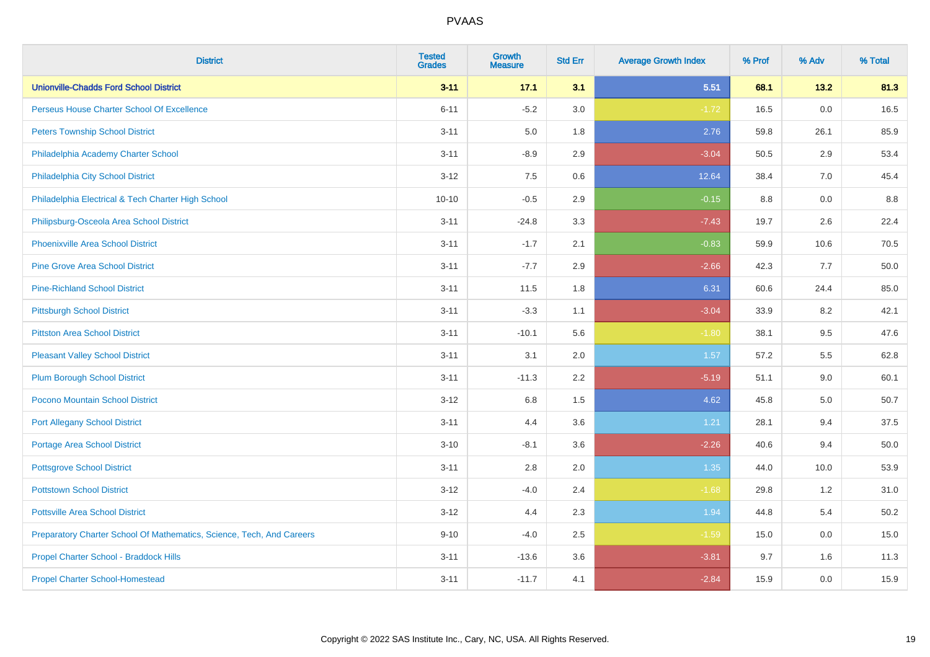| <b>District</b>                                                       | <b>Tested</b><br><b>Grades</b> | <b>Growth</b><br><b>Measure</b> | <b>Std Err</b> | <b>Average Growth Index</b> | % Prof | % Adv | % Total |
|-----------------------------------------------------------------------|--------------------------------|---------------------------------|----------------|-----------------------------|--------|-------|---------|
| <b>Unionville-Chadds Ford School District</b>                         | $3 - 11$                       | 17.1                            | 3.1            | 5.51                        | 68.1   | 13.2  | 81.3    |
| Perseus House Charter School Of Excellence                            | $6 - 11$                       | $-5.2$                          | 3.0            | $-1.72$                     | 16.5   | 0.0   | 16.5    |
| <b>Peters Township School District</b>                                | $3 - 11$                       | 5.0                             | 1.8            | 2.76                        | 59.8   | 26.1  | 85.9    |
| Philadelphia Academy Charter School                                   | $3 - 11$                       | $-8.9$                          | 2.9            | $-3.04$                     | 50.5   | 2.9   | 53.4    |
| Philadelphia City School District                                     | $3 - 12$                       | 7.5                             | 0.6            | 12.64                       | 38.4   | 7.0   | 45.4    |
| Philadelphia Electrical & Tech Charter High School                    | $10 - 10$                      | $-0.5$                          | 2.9            | $-0.15$                     | 8.8    | 0.0   | 8.8     |
| Philipsburg-Osceola Area School District                              | $3 - 11$                       | $-24.8$                         | 3.3            | $-7.43$                     | 19.7   | 2.6   | 22.4    |
| <b>Phoenixville Area School District</b>                              | $3 - 11$                       | $-1.7$                          | 2.1            | $-0.83$                     | 59.9   | 10.6  | 70.5    |
| <b>Pine Grove Area School District</b>                                | $3 - 11$                       | $-7.7$                          | 2.9            | $-2.66$                     | 42.3   | 7.7   | 50.0    |
| <b>Pine-Richland School District</b>                                  | $3 - 11$                       | 11.5                            | 1.8            | 6.31                        | 60.6   | 24.4  | 85.0    |
| <b>Pittsburgh School District</b>                                     | $3 - 11$                       | $-3.3$                          | 1.1            | $-3.04$                     | 33.9   | 8.2   | 42.1    |
| <b>Pittston Area School District</b>                                  | $3 - 11$                       | $-10.1$                         | 5.6            | $-1.80$                     | 38.1   | 9.5   | 47.6    |
| <b>Pleasant Valley School District</b>                                | $3 - 11$                       | 3.1                             | 2.0            | 1.57                        | 57.2   | 5.5   | 62.8    |
| <b>Plum Borough School District</b>                                   | $3 - 11$                       | $-11.3$                         | 2.2            | $-5.19$                     | 51.1   | 9.0   | 60.1    |
| Pocono Mountain School District                                       | $3 - 12$                       | 6.8                             | 1.5            | 4.62                        | 45.8   | 5.0   | 50.7    |
| <b>Port Allegany School District</b>                                  | $3 - 11$                       | 4.4                             | 3.6            | 1.21                        | 28.1   | 9.4   | 37.5    |
| <b>Portage Area School District</b>                                   | $3 - 10$                       | $-8.1$                          | 3.6            | $-2.26$                     | 40.6   | 9.4   | 50.0    |
| <b>Pottsgrove School District</b>                                     | $3 - 11$                       | 2.8                             | 2.0            | 1.35                        | 44.0   | 10.0  | 53.9    |
| <b>Pottstown School District</b>                                      | $3 - 12$                       | $-4.0$                          | 2.4            | $-1.68$                     | 29.8   | 1.2   | 31.0    |
| <b>Pottsville Area School District</b>                                | $3-12$                         | 4.4                             | 2.3            | 1.94                        | 44.8   | 5.4   | 50.2    |
| Preparatory Charter School Of Mathematics, Science, Tech, And Careers | $9 - 10$                       | $-4.0$                          | 2.5            | $-1.59$                     | 15.0   | 0.0   | 15.0    |
| Propel Charter School - Braddock Hills                                | $3 - 11$                       | $-13.6$                         | 3.6            | $-3.81$                     | 9.7    | 1.6   | 11.3    |
| <b>Propel Charter School-Homestead</b>                                | $3 - 11$                       | $-11.7$                         | 4.1            | $-2.84$                     | 15.9   | 0.0   | 15.9    |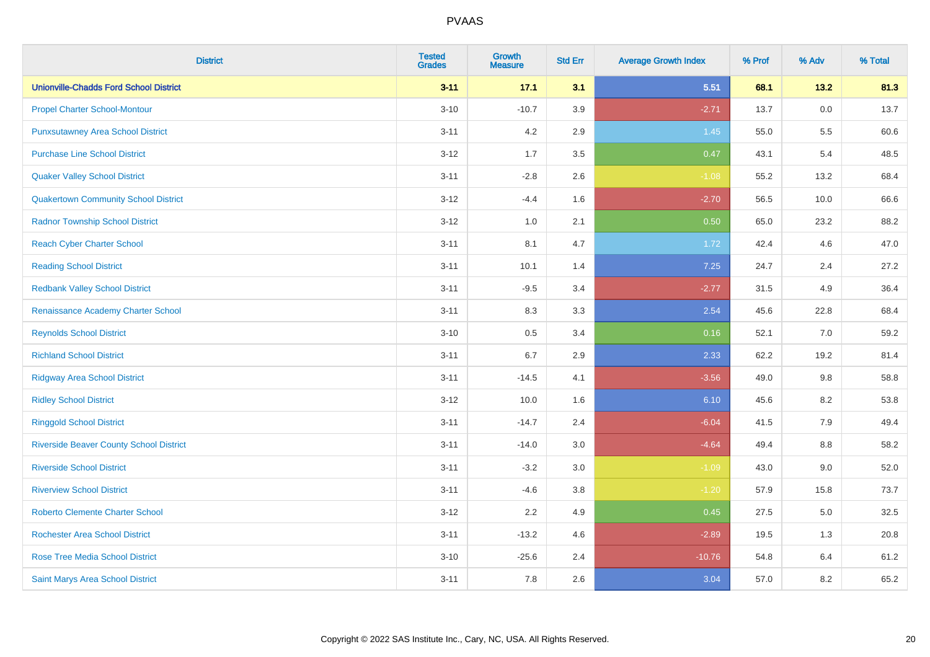| <b>District</b>                                | <b>Tested</b><br><b>Grades</b> | <b>Growth</b><br><b>Measure</b> | <b>Std Err</b> | <b>Average Growth Index</b> | % Prof | % Adv   | % Total |
|------------------------------------------------|--------------------------------|---------------------------------|----------------|-----------------------------|--------|---------|---------|
| <b>Unionville-Chadds Ford School District</b>  | $3 - 11$                       | 17.1                            | 3.1            | 5.51                        | 68.1   | 13.2    | 81.3    |
| <b>Propel Charter School-Montour</b>           | $3 - 10$                       | $-10.7$                         | 3.9            | $-2.71$                     | 13.7   | $0.0\,$ | 13.7    |
| <b>Punxsutawney Area School District</b>       | $3 - 11$                       | 4.2                             | 2.9            | 1.45                        | 55.0   | 5.5     | 60.6    |
| <b>Purchase Line School District</b>           | $3 - 12$                       | 1.7                             | $3.5\,$        | 0.47                        | 43.1   | 5.4     | 48.5    |
| <b>Quaker Valley School District</b>           | $3 - 11$                       | $-2.8$                          | 2.6            | $-1.08$                     | 55.2   | 13.2    | 68.4    |
| <b>Quakertown Community School District</b>    | $3 - 12$                       | $-4.4$                          | 1.6            | $-2.70$                     | 56.5   | 10.0    | 66.6    |
| <b>Radnor Township School District</b>         | $3-12$                         | 1.0                             | 2.1            | 0.50                        | 65.0   | 23.2    | 88.2    |
| <b>Reach Cyber Charter School</b>              | $3 - 11$                       | 8.1                             | 4.7            | 1.72                        | 42.4   | 4.6     | 47.0    |
| <b>Reading School District</b>                 | $3 - 11$                       | 10.1                            | 1.4            | 7.25                        | 24.7   | 2.4     | 27.2    |
| <b>Redbank Valley School District</b>          | $3 - 11$                       | $-9.5$                          | 3.4            | $-2.77$                     | 31.5   | 4.9     | 36.4    |
| Renaissance Academy Charter School             | $3 - 11$                       | 8.3                             | 3.3            | 2.54                        | 45.6   | 22.8    | 68.4    |
| <b>Reynolds School District</b>                | $3 - 10$                       | 0.5                             | 3.4            | 0.16                        | 52.1   | 7.0     | 59.2    |
| <b>Richland School District</b>                | $3 - 11$                       | 6.7                             | 2.9            | 2.33                        | 62.2   | 19.2    | 81.4    |
| <b>Ridgway Area School District</b>            | $3 - 11$                       | $-14.5$                         | 4.1            | $-3.56$                     | 49.0   | 9.8     | 58.8    |
| <b>Ridley School District</b>                  | $3 - 12$                       | 10.0                            | 1.6            | 6.10                        | 45.6   | 8.2     | 53.8    |
| <b>Ringgold School District</b>                | $3 - 11$                       | $-14.7$                         | 2.4            | $-6.04$                     | 41.5   | 7.9     | 49.4    |
| <b>Riverside Beaver County School District</b> | $3 - 11$                       | $-14.0$                         | 3.0            | $-4.64$                     | 49.4   | 8.8     | 58.2    |
| <b>Riverside School District</b>               | $3 - 11$                       | $-3.2$                          | 3.0            | $-1.09$                     | 43.0   | 9.0     | 52.0    |
| <b>Riverview School District</b>               | $3 - 11$                       | $-4.6$                          | 3.8            | $-1.20$                     | 57.9   | 15.8    | 73.7    |
| <b>Roberto Clemente Charter School</b>         | $3-12$                         | 2.2                             | 4.9            | 0.45                        | 27.5   | $5.0\,$ | 32.5    |
| Rochester Area School District                 | $3 - 11$                       | $-13.2$                         | 4.6            | $-2.89$                     | 19.5   | 1.3     | 20.8    |
| <b>Rose Tree Media School District</b>         | $3 - 10$                       | $-25.6$                         | 2.4            | $-10.76$                    | 54.8   | 6.4     | 61.2    |
| Saint Marys Area School District               | $3 - 11$                       | 7.8                             | 2.6            | 3.04                        | 57.0   | 8.2     | 65.2    |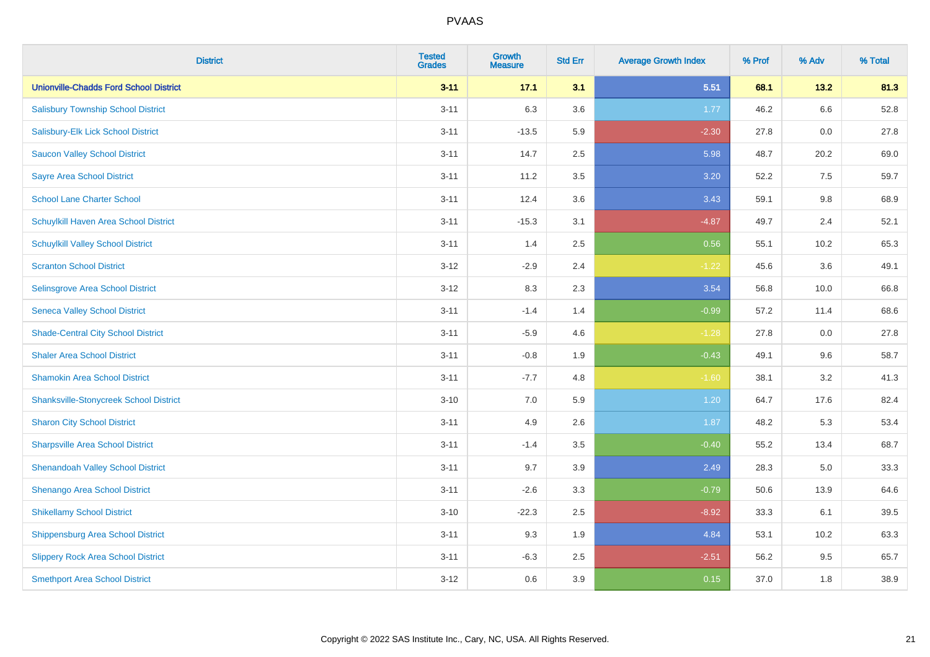| <b>District</b>                               | <b>Tested</b><br><b>Grades</b> | Growth<br><b>Measure</b> | <b>Std Err</b> | <b>Average Growth Index</b> | % Prof | % Adv   | % Total |
|-----------------------------------------------|--------------------------------|--------------------------|----------------|-----------------------------|--------|---------|---------|
| <b>Unionville-Chadds Ford School District</b> | $3 - 11$                       | 17.1                     | 3.1            | 5.51                        | 68.1   | 13.2    | 81.3    |
| <b>Salisbury Township School District</b>     | $3 - 11$                       | 6.3                      | 3.6            | 1.77                        | 46.2   | $6.6\,$ | 52.8    |
| Salisbury-Elk Lick School District            | $3 - 11$                       | $-13.5$                  | 5.9            | $-2.30$                     | 27.8   | 0.0     | 27.8    |
| <b>Saucon Valley School District</b>          | $3 - 11$                       | 14.7                     | 2.5            | 5.98                        | 48.7   | 20.2    | 69.0    |
| <b>Sayre Area School District</b>             | $3 - 11$                       | 11.2                     | 3.5            | 3.20                        | 52.2   | 7.5     | 59.7    |
| <b>School Lane Charter School</b>             | $3 - 11$                       | 12.4                     | 3.6            | 3.43                        | 59.1   | 9.8     | 68.9    |
| Schuylkill Haven Area School District         | $3 - 11$                       | $-15.3$                  | 3.1            | $-4.87$                     | 49.7   | 2.4     | 52.1    |
| <b>Schuylkill Valley School District</b>      | $3 - 11$                       | 1.4                      | 2.5            | 0.56                        | 55.1   | 10.2    | 65.3    |
| <b>Scranton School District</b>               | $3 - 12$                       | $-2.9$                   | 2.4            | $-1.22$                     | 45.6   | 3.6     | 49.1    |
| Selinsgrove Area School District              | $3 - 12$                       | 8.3                      | 2.3            | 3.54                        | 56.8   | 10.0    | 66.8    |
| <b>Seneca Valley School District</b>          | $3 - 11$                       | $-1.4$                   | 1.4            | $-0.99$                     | 57.2   | 11.4    | 68.6    |
| <b>Shade-Central City School District</b>     | $3 - 11$                       | $-5.9$                   | 4.6            | $-1.28$                     | 27.8   | 0.0     | 27.8    |
| <b>Shaler Area School District</b>            | $3 - 11$                       | $-0.8$                   | 1.9            | $-0.43$                     | 49.1   | 9.6     | 58.7    |
| <b>Shamokin Area School District</b>          | $3 - 11$                       | $-7.7$                   | 4.8            | $-1.60$                     | 38.1   | 3.2     | 41.3    |
| <b>Shanksville-Stonycreek School District</b> | $3 - 10$                       | $7.0\,$                  | 5.9            | 1.20                        | 64.7   | 17.6    | 82.4    |
| <b>Sharon City School District</b>            | $3 - 11$                       | 4.9                      | 2.6            | 1.87                        | 48.2   | 5.3     | 53.4    |
| <b>Sharpsville Area School District</b>       | $3 - 11$                       | $-1.4$                   | 3.5            | $-0.40$                     | 55.2   | 13.4    | 68.7    |
| <b>Shenandoah Valley School District</b>      | $3 - 11$                       | 9.7                      | 3.9            | 2.49                        | 28.3   | 5.0     | 33.3    |
| Shenango Area School District                 | $3 - 11$                       | $-2.6$                   | 3.3            | $-0.79$                     | 50.6   | 13.9    | 64.6    |
| <b>Shikellamy School District</b>             | $3 - 10$                       | $-22.3$                  | 2.5            | $-8.92$                     | 33.3   | 6.1     | 39.5    |
| <b>Shippensburg Area School District</b>      | $3 - 11$                       | 9.3                      | 1.9            | 4.84                        | 53.1   | 10.2    | 63.3    |
| <b>Slippery Rock Area School District</b>     | $3 - 11$                       | $-6.3$                   | 2.5            | $-2.51$                     | 56.2   | 9.5     | 65.7    |
| <b>Smethport Area School District</b>         | $3 - 12$                       | 0.6                      | 3.9            | 0.15                        | 37.0   | 1.8     | 38.9    |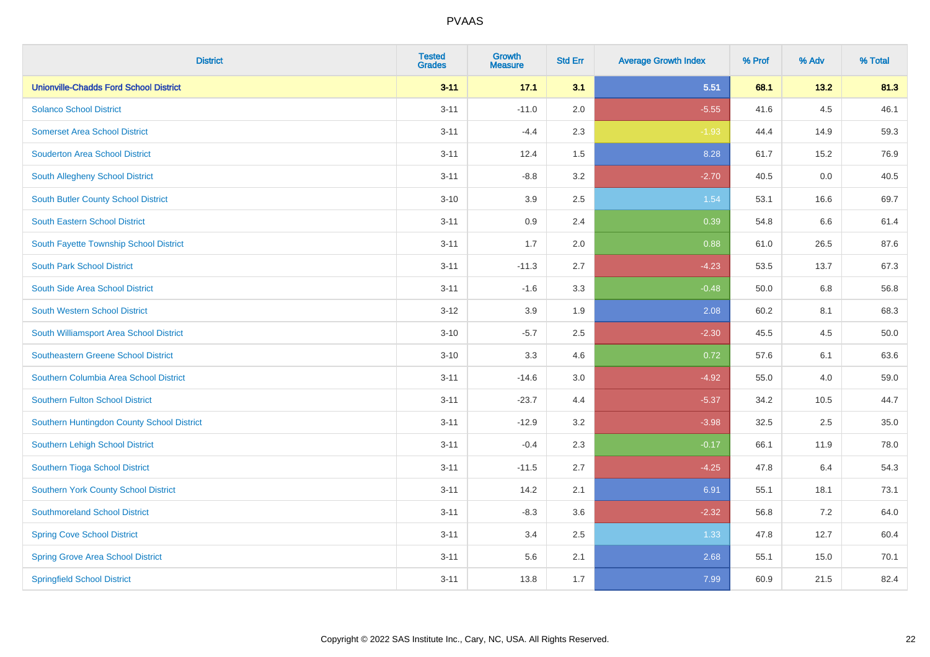| <b>District</b>                               | <b>Tested</b><br><b>Grades</b> | Growth<br><b>Measure</b> | <b>Std Err</b> | <b>Average Growth Index</b> | % Prof | % Adv | % Total |
|-----------------------------------------------|--------------------------------|--------------------------|----------------|-----------------------------|--------|-------|---------|
| <b>Unionville-Chadds Ford School District</b> | $3 - 11$                       | 17.1                     | 3.1            | 5.51                        | 68.1   | 13.2  | 81.3    |
| <b>Solanco School District</b>                | $3 - 11$                       | $-11.0$                  | 2.0            | $-5.55$                     | 41.6   | 4.5   | 46.1    |
| <b>Somerset Area School District</b>          | $3 - 11$                       | $-4.4$                   | 2.3            | $-1.93$                     | 44.4   | 14.9  | 59.3    |
| <b>Souderton Area School District</b>         | $3 - 11$                       | 12.4                     | 1.5            | 8.28                        | 61.7   | 15.2  | 76.9    |
| South Allegheny School District               | $3 - 11$                       | $-8.8$                   | 3.2            | $-2.70$                     | 40.5   | 0.0   | 40.5    |
| <b>South Butler County School District</b>    | $3 - 10$                       | 3.9                      | 2.5            | 1.54                        | 53.1   | 16.6  | 69.7    |
| South Eastern School District                 | $3 - 11$                       | 0.9                      | 2.4            | 0.39                        | 54.8   | 6.6   | 61.4    |
| South Fayette Township School District        | $3 - 11$                       | 1.7                      | 2.0            | 0.88                        | 61.0   | 26.5  | 87.6    |
| <b>South Park School District</b>             | $3 - 11$                       | $-11.3$                  | 2.7            | $-4.23$                     | 53.5   | 13.7  | 67.3    |
| South Side Area School District               | $3 - 11$                       | $-1.6$                   | 3.3            | $-0.48$                     | 50.0   | 6.8   | 56.8    |
| South Western School District                 | $3 - 12$                       | 3.9                      | 1.9            | 2.08                        | 60.2   | 8.1   | 68.3    |
| South Williamsport Area School District       | $3 - 10$                       | $-5.7$                   | 2.5            | $-2.30$                     | 45.5   | 4.5   | 50.0    |
| <b>Southeastern Greene School District</b>    | $3 - 10$                       | 3.3                      | 4.6            | 0.72                        | 57.6   | 6.1   | 63.6    |
| Southern Columbia Area School District        | $3 - 11$                       | $-14.6$                  | 3.0            | $-4.92$                     | 55.0   | 4.0   | 59.0    |
| <b>Southern Fulton School District</b>        | $3 - 11$                       | $-23.7$                  | 4.4            | $-5.37$                     | 34.2   | 10.5  | 44.7    |
| Southern Huntingdon County School District    | $3 - 11$                       | $-12.9$                  | 3.2            | $-3.98$                     | 32.5   | 2.5   | 35.0    |
| Southern Lehigh School District               | $3 - 11$                       | $-0.4$                   | 2.3            | $-0.17$                     | 66.1   | 11.9  | 78.0    |
| Southern Tioga School District                | $3 - 11$                       | $-11.5$                  | 2.7            | $-4.25$                     | 47.8   | 6.4   | 54.3    |
| <b>Southern York County School District</b>   | $3 - 11$                       | 14.2                     | 2.1            | 6.91                        | 55.1   | 18.1  | 73.1    |
| <b>Southmoreland School District</b>          | $3 - 11$                       | $-8.3$                   | 3.6            | $-2.32$                     | 56.8   | 7.2   | 64.0    |
| <b>Spring Cove School District</b>            | $3 - 11$                       | 3.4                      | 2.5            | 1.33                        | 47.8   | 12.7  | 60.4    |
| <b>Spring Grove Area School District</b>      | $3 - 11$                       | 5.6                      | 2.1            | 2.68                        | 55.1   | 15.0  | 70.1    |
| <b>Springfield School District</b>            | $3 - 11$                       | 13.8                     | 1.7            | 7.99                        | 60.9   | 21.5  | 82.4    |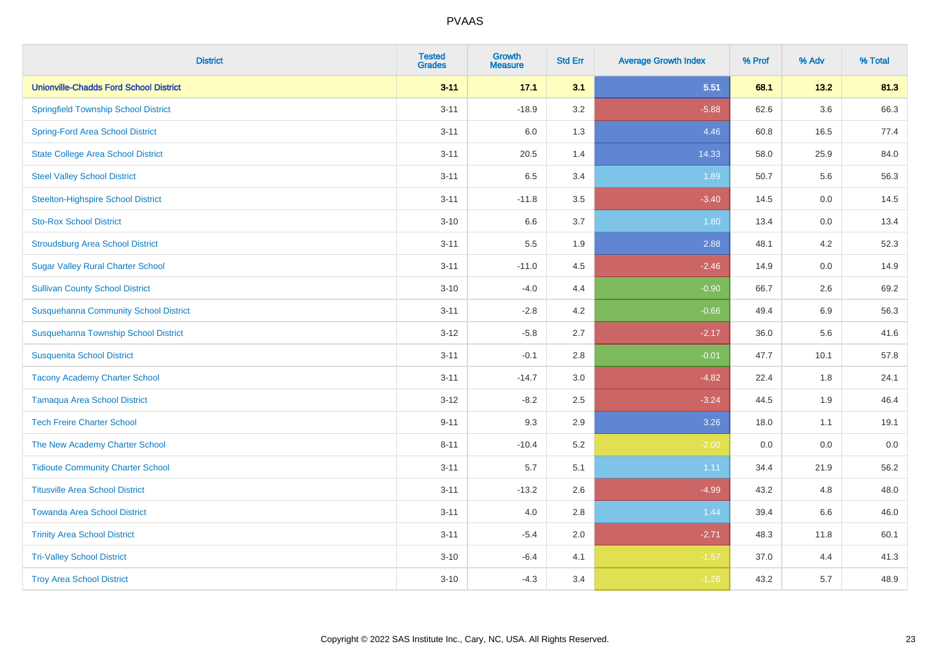| <b>District</b>                               | <b>Tested</b><br><b>Grades</b> | Growth<br><b>Measure</b> | <b>Std Err</b> | <b>Average Growth Index</b> | % Prof | % Adv   | % Total |
|-----------------------------------------------|--------------------------------|--------------------------|----------------|-----------------------------|--------|---------|---------|
| <b>Unionville-Chadds Ford School District</b> | $3 - 11$                       | 17.1                     | 3.1            | 5.51                        | 68.1   | 13.2    | 81.3    |
| <b>Springfield Township School District</b>   | $3 - 11$                       | $-18.9$                  | 3.2            | $-5.88$                     | 62.6   | 3.6     | 66.3    |
| <b>Spring-Ford Area School District</b>       | $3 - 11$                       | 6.0                      | 1.3            | 4.46                        | 60.8   | 16.5    | 77.4    |
| <b>State College Area School District</b>     | $3 - 11$                       | 20.5                     | 1.4            | 14.33                       | 58.0   | 25.9    | 84.0    |
| <b>Steel Valley School District</b>           | $3 - 11$                       | 6.5                      | 3.4            | 1.89                        | 50.7   | 5.6     | 56.3    |
| <b>Steelton-Highspire School District</b>     | $3 - 11$                       | $-11.8$                  | 3.5            | $-3.40$                     | 14.5   | $0.0\,$ | 14.5    |
| <b>Sto-Rox School District</b>                | $3 - 10$                       | 6.6                      | 3.7            | 1.80                        | 13.4   | 0.0     | 13.4    |
| <b>Stroudsburg Area School District</b>       | $3 - 11$                       | 5.5                      | 1.9            | 2.88                        | 48.1   | 4.2     | 52.3    |
| <b>Sugar Valley Rural Charter School</b>      | $3 - 11$                       | $-11.0$                  | 4.5            | $-2.46$                     | 14.9   | 0.0     | 14.9    |
| <b>Sullivan County School District</b>        | $3 - 10$                       | $-4.0$                   | 4.4            | $-0.90$                     | 66.7   | 2.6     | 69.2    |
| <b>Susquehanna Community School District</b>  | $3 - 11$                       | $-2.8$                   | 4.2            | $-0.66$                     | 49.4   | 6.9     | 56.3    |
| Susquehanna Township School District          | $3 - 12$                       | $-5.8$                   | 2.7            | $-2.17$                     | 36.0   | 5.6     | 41.6    |
| <b>Susquenita School District</b>             | $3 - 11$                       | $-0.1$                   | 2.8            | $-0.01$                     | 47.7   | 10.1    | 57.8    |
| <b>Tacony Academy Charter School</b>          | $3 - 11$                       | $-14.7$                  | 3.0            | $-4.82$                     | 22.4   | 1.8     | 24.1    |
| <b>Tamaqua Area School District</b>           | $3 - 12$                       | $-8.2$                   | 2.5            | $-3.24$                     | 44.5   | 1.9     | 46.4    |
| <b>Tech Freire Charter School</b>             | $9 - 11$                       | 9.3                      | 2.9            | 3.26                        | 18.0   | 1.1     | 19.1    |
| The New Academy Charter School                | $8 - 11$                       | $-10.4$                  | 5.2            | $-2.00$                     | 0.0    | 0.0     | $0.0\,$ |
| <b>Tidioute Community Charter School</b>      | $3 - 11$                       | 5.7                      | 5.1            | 1.11                        | 34.4   | 21.9    | 56.2    |
| <b>Titusville Area School District</b>        | $3 - 11$                       | $-13.2$                  | 2.6            | $-4.99$                     | 43.2   | 4.8     | 48.0    |
| <b>Towanda Area School District</b>           | $3 - 11$                       | 4.0                      | 2.8            | 1.44                        | 39.4   | 6.6     | 46.0    |
| <b>Trinity Area School District</b>           | $3 - 11$                       | $-5.4$                   | 2.0            | $-2.71$                     | 48.3   | 11.8    | 60.1    |
| <b>Tri-Valley School District</b>             | $3 - 10$                       | $-6.4$                   | 4.1            | $-1.57$                     | 37.0   | 4.4     | 41.3    |
| <b>Troy Area School District</b>              | $3 - 10$                       | $-4.3$                   | 3.4            | $-1.26$                     | 43.2   | 5.7     | 48.9    |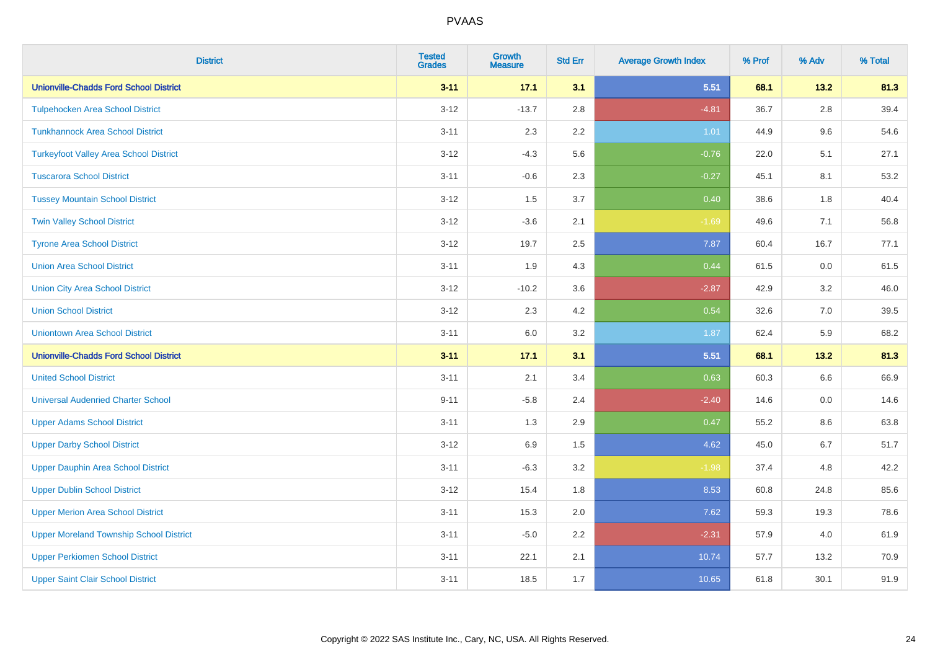| <b>District</b>                                | <b>Tested</b><br><b>Grades</b> | Growth<br><b>Measure</b> | <b>Std Err</b> | <b>Average Growth Index</b> | % Prof | % Adv   | % Total |
|------------------------------------------------|--------------------------------|--------------------------|----------------|-----------------------------|--------|---------|---------|
| <b>Unionville-Chadds Ford School District</b>  | $3 - 11$                       | 17.1                     | 3.1            | 5.51                        | 68.1   | 13.2    | 81.3    |
| <b>Tulpehocken Area School District</b>        | $3 - 12$                       | $-13.7$                  | 2.8            | $-4.81$                     | 36.7   | 2.8     | 39.4    |
| <b>Tunkhannock Area School District</b>        | $3 - 11$                       | 2.3                      | $2.2\,$        | 1.01                        | 44.9   | 9.6     | 54.6    |
| <b>Turkeyfoot Valley Area School District</b>  | $3 - 12$                       | $-4.3$                   | 5.6            | $-0.76$                     | 22.0   | 5.1     | 27.1    |
| <b>Tuscarora School District</b>               | $3 - 11$                       | $-0.6$                   | 2.3            | $-0.27$                     | 45.1   | 8.1     | 53.2    |
| <b>Tussey Mountain School District</b>         | $3 - 12$                       | 1.5                      | 3.7            | 0.40                        | 38.6   | 1.8     | 40.4    |
| <b>Twin Valley School District</b>             | $3 - 12$                       | $-3.6$                   | 2.1            | $-1.69$                     | 49.6   | 7.1     | 56.8    |
| <b>Tyrone Area School District</b>             | $3 - 12$                       | 19.7                     | 2.5            | 7.87                        | 60.4   | 16.7    | 77.1    |
| <b>Union Area School District</b>              | $3 - 11$                       | 1.9                      | 4.3            | 0.44                        | 61.5   | 0.0     | 61.5    |
| <b>Union City Area School District</b>         | $3 - 12$                       | $-10.2$                  | 3.6            | $-2.87$                     | 42.9   | 3.2     | 46.0    |
| <b>Union School District</b>                   | $3 - 12$                       | 2.3                      | 4.2            | 0.54                        | 32.6   | 7.0     | 39.5    |
| <b>Uniontown Area School District</b>          | $3 - 11$                       | 6.0                      | 3.2            | 1.87                        | 62.4   | 5.9     | 68.2    |
| <b>Unionville-Chadds Ford School District</b>  | $3 - 11$                       | 17.1                     | 3.1            | 5.51                        | 68.1   | 13.2    | 81.3    |
| <b>United School District</b>                  | $3 - 11$                       | 2.1                      | 3.4            | 0.63                        | 60.3   | $6.6\,$ | 66.9    |
| <b>Universal Audenried Charter School</b>      | $9 - 11$                       | $-5.8$                   | 2.4            | $-2.40$                     | 14.6   | 0.0     | 14.6    |
| <b>Upper Adams School District</b>             | $3 - 11$                       | 1.3                      | 2.9            | 0.47                        | 55.2   | $8.6\,$ | 63.8    |
| <b>Upper Darby School District</b>             | $3 - 12$                       | 6.9                      | 1.5            | 4.62                        | 45.0   | 6.7     | 51.7    |
| <b>Upper Dauphin Area School District</b>      | $3 - 11$                       | $-6.3$                   | 3.2            | $-1.98$                     | 37.4   | 4.8     | 42.2    |
| <b>Upper Dublin School District</b>            | $3 - 12$                       | 15.4                     | 1.8            | 8.53                        | 60.8   | 24.8    | 85.6    |
| <b>Upper Merion Area School District</b>       | $3 - 11$                       | 15.3                     | 2.0            | 7.62                        | 59.3   | 19.3    | 78.6    |
| <b>Upper Moreland Township School District</b> | $3 - 11$                       | $-5.0$                   | 2.2            | $-2.31$                     | 57.9   | 4.0     | 61.9    |
| <b>Upper Perkiomen School District</b>         | $3 - 11$                       | 22.1                     | 2.1            | 10.74                       | 57.7   | 13.2    | 70.9    |
| <b>Upper Saint Clair School District</b>       | $3 - 11$                       | 18.5                     | 1.7            | 10.65                       | 61.8   | 30.1    | 91.9    |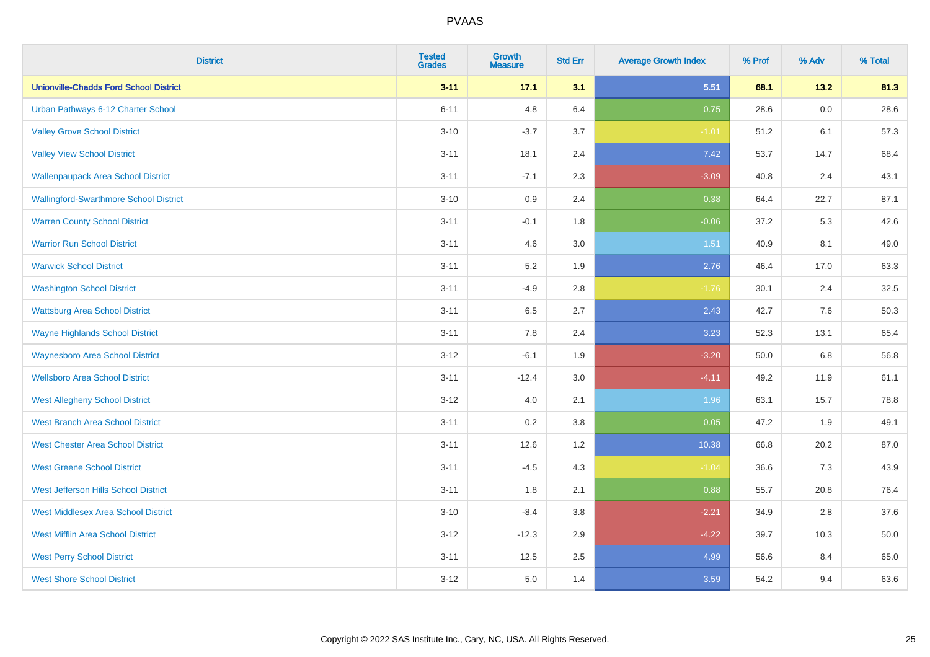| <b>District</b>                               | <b>Tested</b><br><b>Grades</b> | <b>Growth</b><br><b>Measure</b> | <b>Std Err</b> | <b>Average Growth Index</b> | % Prof | % Adv   | % Total |
|-----------------------------------------------|--------------------------------|---------------------------------|----------------|-----------------------------|--------|---------|---------|
| <b>Unionville-Chadds Ford School District</b> | $3 - 11$                       | 17.1                            | 3.1            | 5.51                        | 68.1   | 13.2    | 81.3    |
| Urban Pathways 6-12 Charter School            | $6 - 11$                       | 4.8                             | 6.4            | 0.75                        | 28.6   | $0.0\,$ | 28.6    |
| <b>Valley Grove School District</b>           | $3 - 10$                       | $-3.7$                          | 3.7            | $-1.01$                     | 51.2   | 6.1     | 57.3    |
| <b>Valley View School District</b>            | $3 - 11$                       | 18.1                            | 2.4            | 7.42                        | 53.7   | 14.7    | 68.4    |
| <b>Wallenpaupack Area School District</b>     | $3 - 11$                       | $-7.1$                          | 2.3            | $-3.09$                     | 40.8   | 2.4     | 43.1    |
| <b>Wallingford-Swarthmore School District</b> | $3 - 10$                       | 0.9                             | 2.4            | 0.38                        | 64.4   | 22.7    | 87.1    |
| <b>Warren County School District</b>          | $3 - 11$                       | $-0.1$                          | 1.8            | $-0.06$                     | 37.2   | 5.3     | 42.6    |
| <b>Warrior Run School District</b>            | $3 - 11$                       | 4.6                             | 3.0            | 1.51                        | 40.9   | 8.1     | 49.0    |
| <b>Warwick School District</b>                | $3 - 11$                       | 5.2                             | 1.9            | 2.76                        | 46.4   | 17.0    | 63.3    |
| <b>Washington School District</b>             | $3 - 11$                       | $-4.9$                          | 2.8            | $-1.76$                     | 30.1   | 2.4     | 32.5    |
| <b>Wattsburg Area School District</b>         | $3 - 11$                       | 6.5                             | 2.7            | 2.43                        | 42.7   | 7.6     | 50.3    |
| <b>Wayne Highlands School District</b>        | $3 - 11$                       | 7.8                             | 2.4            | 3.23                        | 52.3   | 13.1    | 65.4    |
| <b>Waynesboro Area School District</b>        | $3 - 12$                       | $-6.1$                          | 1.9            | $-3.20$                     | 50.0   | $6.8\,$ | 56.8    |
| <b>Wellsboro Area School District</b>         | $3 - 11$                       | $-12.4$                         | 3.0            | $-4.11$                     | 49.2   | 11.9    | 61.1    |
| <b>West Allegheny School District</b>         | $3 - 12$                       | $4.0\,$                         | 2.1            | 1.96                        | 63.1   | 15.7    | 78.8    |
| <b>West Branch Area School District</b>       | $3 - 11$                       | 0.2                             | 3.8            | 0.05                        | 47.2   | 1.9     | 49.1    |
| <b>West Chester Area School District</b>      | $3 - 11$                       | 12.6                            | 1.2            | 10.38                       | 66.8   | 20.2    | 87.0    |
| <b>West Greene School District</b>            | $3 - 11$                       | $-4.5$                          | 4.3            | $-1.04$                     | 36.6   | 7.3     | 43.9    |
| West Jefferson Hills School District          | $3 - 11$                       | 1.8                             | 2.1            | 0.88                        | 55.7   | 20.8    | 76.4    |
| <b>West Middlesex Area School District</b>    | $3 - 10$                       | $-8.4$                          | 3.8            | $-2.21$                     | 34.9   | 2.8     | 37.6    |
| <b>West Mifflin Area School District</b>      | $3 - 12$                       | $-12.3$                         | 2.9            | $-4.22$                     | 39.7   | 10.3    | 50.0    |
| <b>West Perry School District</b>             | $3 - 11$                       | 12.5                            | 2.5            | 4.99                        | 56.6   | 8.4     | 65.0    |
| <b>West Shore School District</b>             | $3 - 12$                       | 5.0                             | 1.4            | 3.59                        | 54.2   | 9.4     | 63.6    |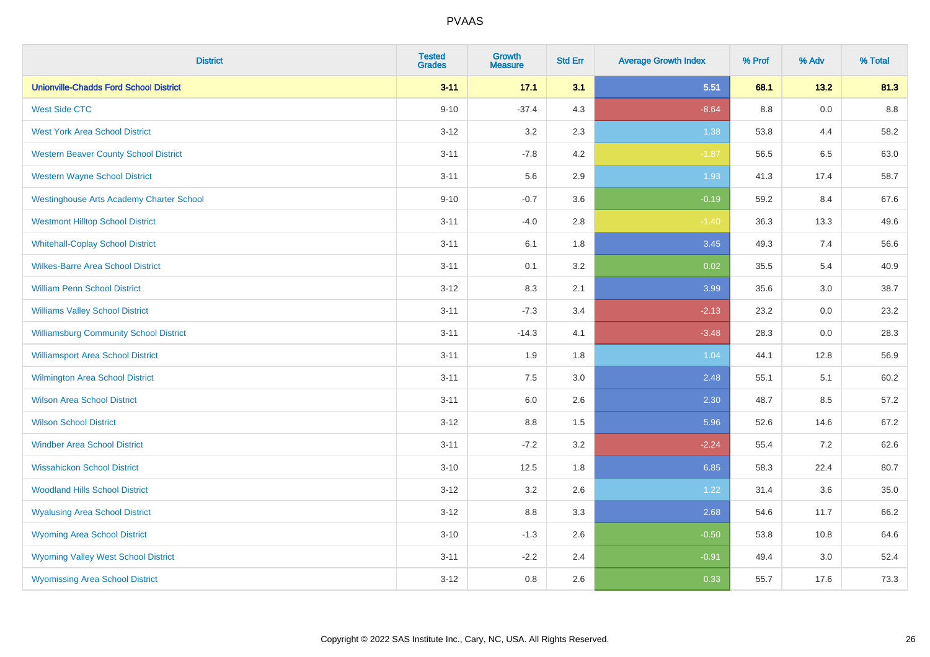| <b>District</b>                                 | <b>Tested</b><br><b>Grades</b> | Growth<br><b>Measure</b> | <b>Std Err</b> | <b>Average Growth Index</b> | % Prof | % Adv | % Total |
|-------------------------------------------------|--------------------------------|--------------------------|----------------|-----------------------------|--------|-------|---------|
| <b>Unionville-Chadds Ford School District</b>   | $3 - 11$                       | 17.1                     | 3.1            | 5.51                        | 68.1   | 13.2  | 81.3    |
| <b>West Side CTC</b>                            | $9 - 10$                       | $-37.4$                  | 4.3            | $-8.64$                     | 8.8    | 0.0   | $8.8\,$ |
| <b>West York Area School District</b>           | $3 - 12$                       | $3.2\,$                  | 2.3            | 1.38                        | 53.8   | 4.4   | 58.2    |
| <b>Western Beaver County School District</b>    | $3 - 11$                       | $-7.8$                   | 4.2            | $-1.87$                     | 56.5   | 6.5   | 63.0    |
| <b>Western Wayne School District</b>            | $3 - 11$                       | 5.6                      | 2.9            | 1.93                        | 41.3   | 17.4  | 58.7    |
| <b>Westinghouse Arts Academy Charter School</b> | $9 - 10$                       | $-0.7$                   | 3.6            | $-0.19$                     | 59.2   | 8.4   | 67.6    |
| <b>Westmont Hilltop School District</b>         | $3 - 11$                       | $-4.0$                   | 2.8            | $-1.40$                     | 36.3   | 13.3  | 49.6    |
| <b>Whitehall-Coplay School District</b>         | $3 - 11$                       | 6.1                      | 1.8            | 3.45                        | 49.3   | 7.4   | 56.6    |
| <b>Wilkes-Barre Area School District</b>        | $3 - 11$                       | 0.1                      | 3.2            | 0.02                        | 35.5   | 5.4   | 40.9    |
| <b>William Penn School District</b>             | $3 - 12$                       | 8.3                      | 2.1            | 3.99                        | 35.6   | 3.0   | 38.7    |
| <b>Williams Valley School District</b>          | $3 - 11$                       | $-7.3$                   | 3.4            | $-2.13$                     | 23.2   | 0.0   | 23.2    |
| <b>Williamsburg Community School District</b>   | $3 - 11$                       | $-14.3$                  | 4.1            | $-3.48$                     | 28.3   | 0.0   | 28.3    |
| <b>Williamsport Area School District</b>        | $3 - 11$                       | 1.9                      | 1.8            | 1.04                        | 44.1   | 12.8  | 56.9    |
| <b>Wilmington Area School District</b>          | $3 - 11$                       | 7.5                      | 3.0            | 2.48                        | 55.1   | 5.1   | 60.2    |
| <b>Wilson Area School District</b>              | $3 - 11$                       | $6.0\,$                  | 2.6            | 2.30                        | 48.7   | 8.5   | 57.2    |
| <b>Wilson School District</b>                   | $3 - 12$                       | 8.8                      | 1.5            | 5.96                        | 52.6   | 14.6  | 67.2    |
| <b>Windber Area School District</b>             | $3 - 11$                       | $-7.2$                   | 3.2            | $-2.24$                     | 55.4   | 7.2   | 62.6    |
| <b>Wissahickon School District</b>              | $3 - 10$                       | 12.5                     | 1.8            | 6.85                        | 58.3   | 22.4  | 80.7    |
| <b>Woodland Hills School District</b>           | $3 - 12$                       | 3.2                      | 2.6            | 1.22                        | 31.4   | 3.6   | 35.0    |
| <b>Wyalusing Area School District</b>           | $3 - 12$                       | 8.8                      | 3.3            | 2.68                        | 54.6   | 11.7  | 66.2    |
| <b>Wyoming Area School District</b>             | $3 - 10$                       | $-1.3$                   | 2.6            | $-0.50$                     | 53.8   | 10.8  | 64.6    |
| <b>Wyoming Valley West School District</b>      | $3 - 11$                       | $-2.2$                   | 2.4            | $-0.91$                     | 49.4   | 3.0   | 52.4    |
| <b>Wyomissing Area School District</b>          | $3 - 12$                       | 0.8                      | 2.6            | 0.33                        | 55.7   | 17.6  | 73.3    |